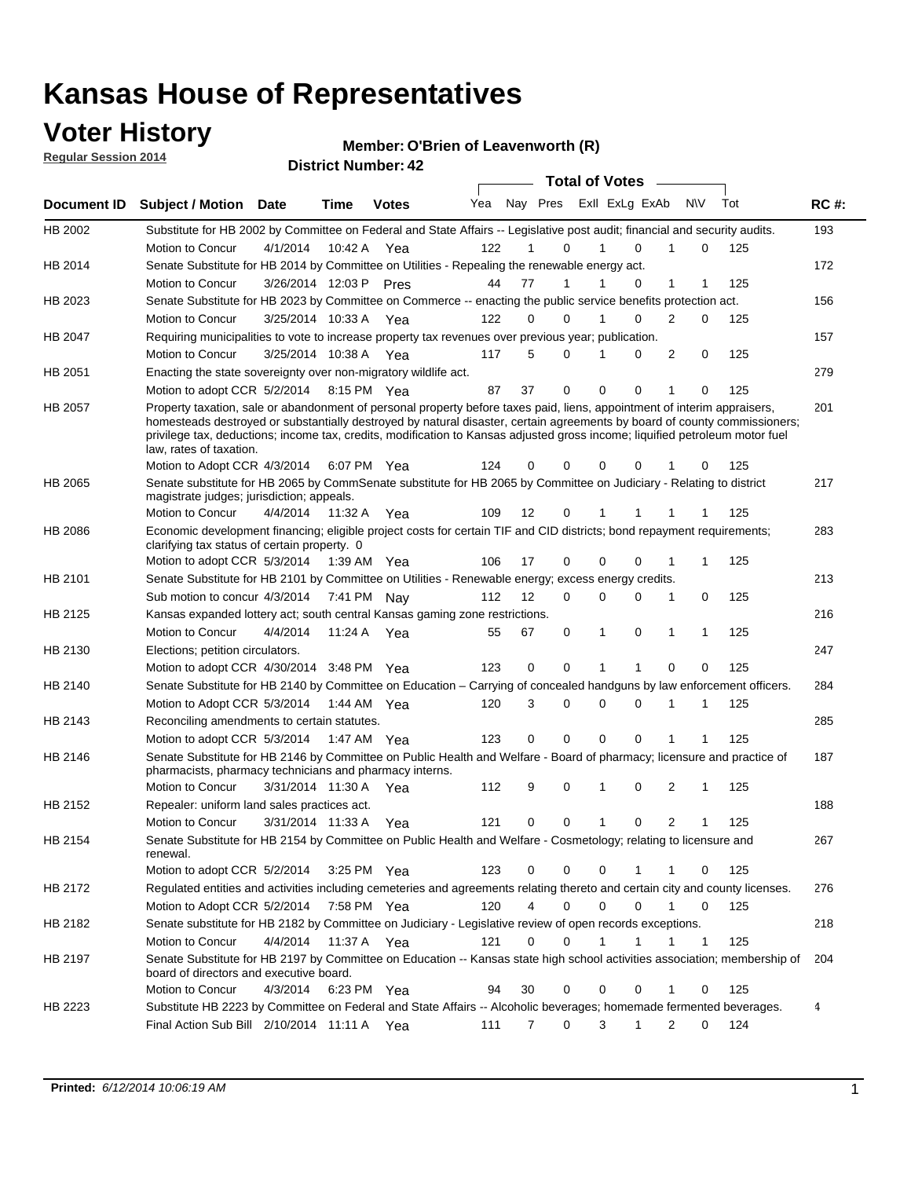### **Voter History**

**Regular Session 2014**

#### **O'Brien of Leavenworth (R)**

|             |                                                                                                                                                                                                                                                                                                                                                                                                                                                  |                        |             | DISTICT MUTTING 1.42 |     |                   |          | <b>Total of Votes</b> |                |                              |     |             |
|-------------|--------------------------------------------------------------------------------------------------------------------------------------------------------------------------------------------------------------------------------------------------------------------------------------------------------------------------------------------------------------------------------------------------------------------------------------------------|------------------------|-------------|----------------------|-----|-------------------|----------|-----------------------|----------------|------------------------------|-----|-------------|
| Document ID | <b>Subject / Motion</b>                                                                                                                                                                                                                                                                                                                                                                                                                          | Date                   | Time        | <b>Votes</b>         | Yea |                   | Nay Pres |                       | Exll ExLg ExAb | N\V                          | Tot | <b>RC#:</b> |
|             |                                                                                                                                                                                                                                                                                                                                                                                                                                                  |                        |             |                      |     |                   |          |                       |                |                              |     |             |
| HB 2002     | Substitute for HB 2002 by Committee on Federal and State Affairs -- Legislative post audit; financial and security audits.                                                                                                                                                                                                                                                                                                                       |                        |             |                      |     |                   |          |                       |                |                              |     | 193         |
|             | Motion to Concur                                                                                                                                                                                                                                                                                                                                                                                                                                 | 4/1/2014               | 10:42 A     | Yea                  | 122 |                   | 0        |                       | $\Omega$       | 0                            | 125 |             |
| HB 2014     | Senate Substitute for HB 2014 by Committee on Utilities - Repealing the renewable energy act.                                                                                                                                                                                                                                                                                                                                                    |                        |             |                      |     |                   |          |                       |                |                              |     | 172         |
|             | Motion to Concur                                                                                                                                                                                                                                                                                                                                                                                                                                 | 3/26/2014 12:03 P Pres |             |                      | 44  | 77                | 1        |                       | 0              | 1<br>1                       | 125 |             |
| HB 2023     | Senate Substitute for HB 2023 by Committee on Commerce -- enacting the public service benefits protection act.                                                                                                                                                                                                                                                                                                                                   |                        |             |                      |     |                   |          |                       |                |                              |     | 156         |
|             | Motion to Concur                                                                                                                                                                                                                                                                                                                                                                                                                                 | 3/25/2014 10:33 A Yea  |             |                      | 122 | $\Omega$          | 0        | 1                     | $\Omega$       | 2<br>0                       | 125 |             |
| HB 2047     | Requiring municipalities to vote to increase property tax revenues over previous year; publication.                                                                                                                                                                                                                                                                                                                                              |                        |             |                      |     |                   |          |                       |                |                              |     | 157         |
|             | Motion to Concur                                                                                                                                                                                                                                                                                                                                                                                                                                 | 3/25/2014 10:38 A      |             | Yea                  | 117 | 5                 | 0        |                       | 0              | 2<br>0                       | 125 |             |
| HB 2051     | Enacting the state sovereignty over non-migratory wildlife act.                                                                                                                                                                                                                                                                                                                                                                                  |                        |             |                      |     |                   |          |                       |                |                              |     | 279         |
|             | Motion to adopt CCR 5/2/2014                                                                                                                                                                                                                                                                                                                                                                                                                     |                        | 8:15 PM Yea |                      | 87  | 37                | 0        | 0                     | 0              | 1<br>$\Omega$                | 125 |             |
| HB 2057     | Property taxation, sale or abandonment of personal property before taxes paid, liens, appointment of interim appraisers,<br>homesteads destroyed or substantially destroyed by natural disaster, certain agreements by board of county commissioners;<br>privilege tax, deductions; income tax, credits, modification to Kansas adjusted gross income; liquified petroleum motor fuel<br>law, rates of taxation.<br>Motion to Adopt CCR 4/3/2014 |                        |             | 6:07 PM Yea          | 124 | 0                 | 0        | 0                     | $\Omega$       | 0                            | 125 | 201         |
|             |                                                                                                                                                                                                                                                                                                                                                                                                                                                  |                        |             |                      |     |                   |          |                       |                |                              |     |             |
| HB 2065     | Senate substitute for HB 2065 by CommSenate substitute for HB 2065 by Committee on Judiciary - Relating to district<br>magistrate judges; jurisdiction; appeals.                                                                                                                                                                                                                                                                                 |                        |             |                      |     |                   |          |                       |                |                              |     | 217         |
|             | Motion to Concur                                                                                                                                                                                                                                                                                                                                                                                                                                 | 4/4/2014 11:32 A Yea   |             |                      | 109 | $12 \overline{ }$ | 0        | 1                     | -1             | -1<br>1                      | 125 |             |
| HB 2086     | Economic development financing; eligible project costs for certain TIF and CID districts; bond repayment requirements;<br>clarifying tax status of certain property. 0                                                                                                                                                                                                                                                                           |                        |             |                      |     |                   |          |                       |                |                              |     | 283         |
|             | Motion to adopt CCR 5/3/2014 1:39 AM Yea                                                                                                                                                                                                                                                                                                                                                                                                         |                        |             |                      | 106 | 17                | 0        | 0                     | $\Omega$       | 1<br>1                       | 125 |             |
| HB 2101     | Senate Substitute for HB 2101 by Committee on Utilities - Renewable energy; excess energy credits.                                                                                                                                                                                                                                                                                                                                               |                        |             |                      |     |                   |          |                       |                |                              |     | 213         |
|             | Sub motion to concur 4/3/2014                                                                                                                                                                                                                                                                                                                                                                                                                    |                        | 7:41 PM Nay |                      | 112 | 12                | 0        | 0                     | $\mathbf 0$    | 0<br>1                       | 125 |             |
| HB 2125     | Kansas expanded lottery act; south central Kansas gaming zone restrictions.                                                                                                                                                                                                                                                                                                                                                                      |                        |             |                      |     |                   |          |                       |                |                              |     | 216         |
|             | Motion to Concur                                                                                                                                                                                                                                                                                                                                                                                                                                 | 4/4/2014               | 11:24 A     | Yea                  | 55  | 67                | 0        | 1                     | 0              | $\mathbf{1}$<br>$\mathbf{1}$ | 125 |             |
| HB 2130     | Elections; petition circulators.                                                                                                                                                                                                                                                                                                                                                                                                                 |                        |             |                      |     |                   |          |                       |                |                              |     | 247         |
|             | Motion to adopt CCR 4/30/2014 3:48 PM Yea                                                                                                                                                                                                                                                                                                                                                                                                        |                        |             |                      | 123 | 0                 | 0        | 1                     | 1              | $\Omega$<br>0                | 125 |             |
| HB 2140     | Senate Substitute for HB 2140 by Committee on Education – Carrying of concealed handguns by law enforcement officers.                                                                                                                                                                                                                                                                                                                            |                        |             |                      |     |                   |          |                       |                |                              |     | 284         |
|             | Motion to Adopt CCR 5/3/2014                                                                                                                                                                                                                                                                                                                                                                                                                     |                        |             | 1:44 AM Yea          | 120 | 3                 | 0        | 0                     | 0<br>-1        | 1                            | 125 |             |
| HB 2143     | Reconciling amendments to certain statutes.                                                                                                                                                                                                                                                                                                                                                                                                      |                        |             |                      |     |                   |          |                       |                |                              |     | 285         |
|             | Motion to adopt CCR 5/3/2014                                                                                                                                                                                                                                                                                                                                                                                                                     |                        |             | 1:47 AM Yea          | 123 | 0                 | 0        | 0                     | 0              | 1<br>1                       | 125 |             |
| HB 2146     | Senate Substitute for HB 2146 by Committee on Public Health and Welfare - Board of pharmacy; licensure and practice of<br>pharmacists, pharmacy technicians and pharmacy interns.                                                                                                                                                                                                                                                                |                        |             |                      |     |                   |          |                       |                |                              |     | 187         |
|             | Motion to Concur                                                                                                                                                                                                                                                                                                                                                                                                                                 | 3/31/2014 11:30 A      |             | Yea                  | 112 | 9                 | 0        | 1                     | 0              | 2<br>1                       | 125 |             |
| HB 2152     | Repealer: uniform land sales practices act.                                                                                                                                                                                                                                                                                                                                                                                                      |                        |             |                      |     |                   |          |                       |                |                              |     | 188         |
|             | <b>Motion to Concur</b>                                                                                                                                                                                                                                                                                                                                                                                                                          | 3/31/2014 11:33 A      |             | Yea                  | 121 |                   | 0<br>0   | 1                     | 0              | 2<br>1                       | 125 |             |
| HB 2154     | Senate Substitute for HB 2154 by Committee on Public Health and Welfare - Cosmetology; relating to licensure and<br>renewal.                                                                                                                                                                                                                                                                                                                     |                        |             |                      |     |                   |          |                       |                |                              |     | 267         |
|             | Motion to adopt CCR 5/2/2014 3:25 PM Yea                                                                                                                                                                                                                                                                                                                                                                                                         |                        |             |                      | 123 |                   | 0<br>0   | 0                     |                | 0<br>1                       | 125 |             |
| HB 2172     | Regulated entities and activities including cemeteries and agreements relating thereto and certain city and county licenses.                                                                                                                                                                                                                                                                                                                     |                        |             |                      |     |                   |          |                       |                |                              |     | 276         |
|             | Motion to Adopt CCR 5/2/2014                                                                                                                                                                                                                                                                                                                                                                                                                     |                        | 7:58 PM Yea |                      | 120 |                   | 4<br>0   | $\mathbf 0$           | $\mathbf 0$    | $\mathbf{1}$<br>0            | 125 |             |
| HB 2182     | Senate substitute for HB 2182 by Committee on Judiciary - Legislative review of open records exceptions.                                                                                                                                                                                                                                                                                                                                         |                        |             |                      |     |                   |          |                       |                |                              |     | 218         |
|             | Motion to Concur                                                                                                                                                                                                                                                                                                                                                                                                                                 | 4/4/2014 11:37 A Yea   |             |                      | 121 | 0                 | 0        | 1                     | 1              | $\mathbf 1$<br>$\mathbf 1$   | 125 |             |
|             |                                                                                                                                                                                                                                                                                                                                                                                                                                                  |                        |             |                      |     |                   |          |                       |                |                              |     |             |
| HB 2197     | Senate Substitute for HB 2197 by Committee on Education -- Kansas state high school activities association; membership of<br>board of directors and executive board.                                                                                                                                                                                                                                                                             |                        |             |                      |     |                   |          |                       |                |                              |     | 204         |
|             | Motion to Concur                                                                                                                                                                                                                                                                                                                                                                                                                                 | 4/3/2014               |             | 6:23 PM Yea          | 94  | 30                | 0        | 0                     | 0              | 0                            | 125 |             |
| HB 2223     | Substitute HB 2223 by Committee on Federal and State Affairs -- Alcoholic beverages; homemade fermented beverages.                                                                                                                                                                                                                                                                                                                               |                        |             |                      |     |                   |          |                       |                |                              |     | 4           |
|             | Final Action Sub Bill 2/10/2014 11:11 A Yea                                                                                                                                                                                                                                                                                                                                                                                                      |                        |             |                      | 111 |                   | 0<br>7   | 3                     | $\mathbf{1}$   | 2<br>0                       | 124 |             |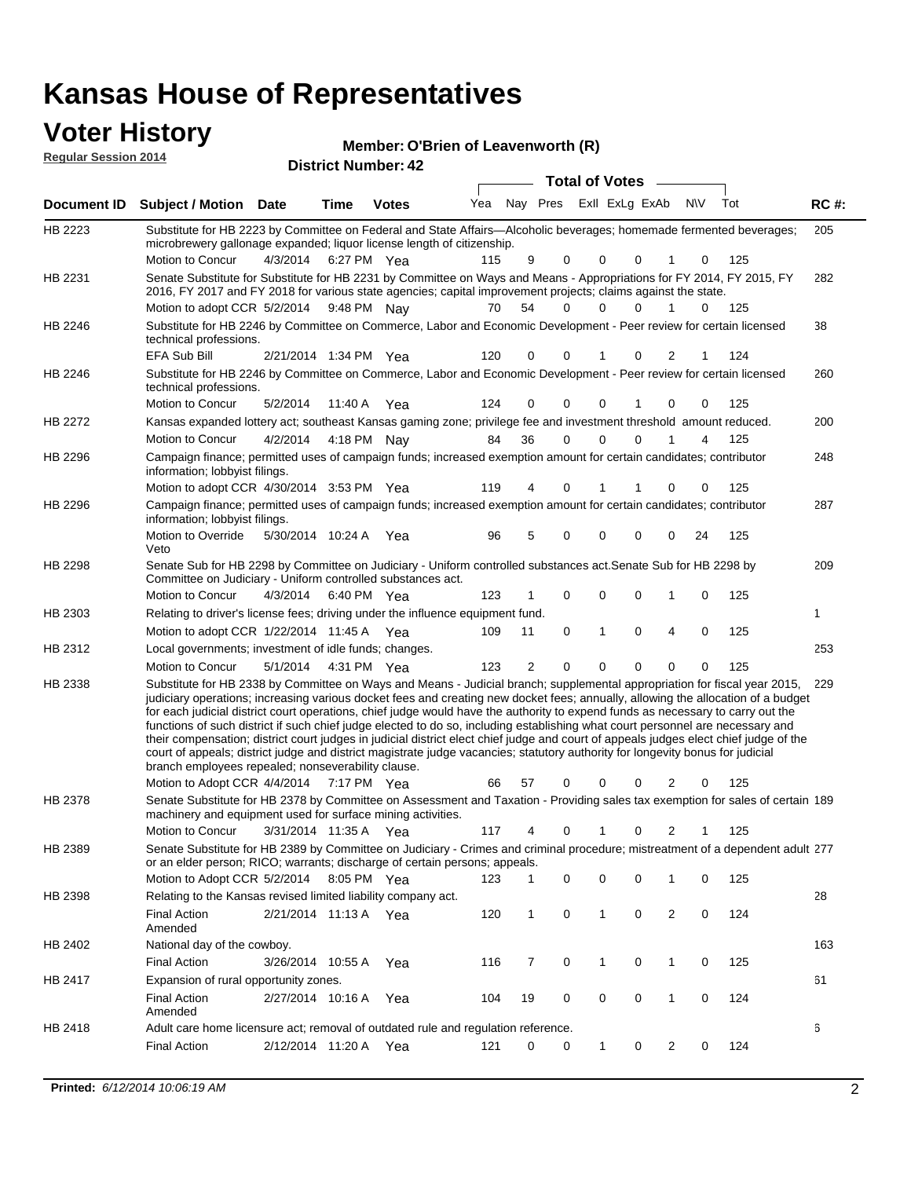#### **Voter History**

| .<br><b>Reqular Session 2014</b> |                                                                                                                                                                                                                                                                                            |                      |                            |              | Member: O'Brien of Leavenworth (R) |          |                          |                       |               |          |           |            |             |
|----------------------------------|--------------------------------------------------------------------------------------------------------------------------------------------------------------------------------------------------------------------------------------------------------------------------------------------|----------------------|----------------------------|--------------|------------------------------------|----------|--------------------------|-----------------------|---------------|----------|-----------|------------|-------------|
|                                  |                                                                                                                                                                                                                                                                                            |                      | <b>District Number: 42</b> |              |                                    |          |                          | <b>Total of Votes</b> |               |          |           |            |             |
| Document <b>ID</b>               | <b>Subject / Motion Date</b>                                                                                                                                                                                                                                                               |                      | Time                       | <b>Votes</b> | Yea                                | Nav      | Pres                     | ExII ExLg ExAb        |               |          | <b>NV</b> | Tot        | <b>RC#:</b> |
| HB 2223                          | Substitute for HB 2223 by Committee on Federal and State Affairs—Alcoholic beverages; homemade fermented beverages;<br>microbrewery gallonage expanded; liquor license length of citizenship.                                                                                              |                      |                            |              |                                    |          |                          |                       |               |          |           |            | 205         |
| HB 2231                          | Motion to Concur<br>Senate Substitute for Substitute for HB 2231 by Committee on Ways and Means - Appropriations for FY 2014, FY 2015, FY<br>2016, FY 2017 and FY 2018 for various state agencies; capital improvement projects; claims against the state.<br>Motion to adopt CCR 5/2/2014 | 4/3/2014 6:27 PM Yea | 9:48 PM                    | Nav          | 115<br>70                          | 9<br>54  | $\Omega$<br>$\mathbf{0}$ | 0<br>0                | $\Omega$<br>0 |          | 0<br>0    | 125<br>125 | 282         |
| HB 2246                          | Substitute for HB 2246 by Committee on Commerce, Labor and Economic Development - Peer review for certain licensed<br>technical professions.<br>EFA Sub Bill                                                                                                                               |                      | 2/21/2014 1:34 PM          |              | 120                                | $\Omega$ | $\Omega$                 |                       | $\Omega$      |          |           | 124        | 38          |
| HB 2246                          | Substitute for HB 2246 by Committee on Commerce, Labor and Economic Development - Peer review for certain licensed<br>technical professions.                                                                                                                                               |                      |                            | Yea          |                                    |          |                          |                       |               |          |           |            | 260         |
|                                  | Motion to Concur                                                                                                                                                                                                                                                                           | 5/2/2014             | 11:40 A                    | Yea          | 124                                | $\Omega$ | $\Omega$                 | $\Omega$              |               | $\Omega$ | 0         | 125        |             |

| HB 2246        | Substitute for HB 2246 by Committee on Commerce, Labor and Economic Development - Peer review for certain licensed<br>technical professions.                                                                                                                                                                                                                                                                                                                                                                                                                                                                                                                                                                                           |                   |                       |     |     |                |             |              |             |                |             |     | 260          |
|----------------|----------------------------------------------------------------------------------------------------------------------------------------------------------------------------------------------------------------------------------------------------------------------------------------------------------------------------------------------------------------------------------------------------------------------------------------------------------------------------------------------------------------------------------------------------------------------------------------------------------------------------------------------------------------------------------------------------------------------------------------|-------------------|-----------------------|-----|-----|----------------|-------------|--------------|-------------|----------------|-------------|-----|--------------|
|                | Motion to Concur                                                                                                                                                                                                                                                                                                                                                                                                                                                                                                                                                                                                                                                                                                                       | 5/2/2014          | 11:40 A Yea           |     | 124 | $\Omega$       | 0           | $\Omega$     |             | 0              | 0           | 125 |              |
| HB 2272        | Kansas expanded lottery act; southeast Kansas gaming zone; privilege fee and investment threshold amount reduced.                                                                                                                                                                                                                                                                                                                                                                                                                                                                                                                                                                                                                      |                   |                       |     |     |                |             |              |             |                |             |     | 200          |
|                | Motion to Concur                                                                                                                                                                                                                                                                                                                                                                                                                                                                                                                                                                                                                                                                                                                       | 4/2/2014          | 4:18 PM Nay           |     | 84  | 36             | 0           | $\mathbf{0}$ | 0           |                | 4           | 125 |              |
| HB 2296        | Campaign finance; permitted uses of campaign funds; increased exemption amount for certain candidates; contributor<br>information; lobbyist filings.                                                                                                                                                                                                                                                                                                                                                                                                                                                                                                                                                                                   |                   |                       |     |     |                |             |              |             |                |             |     | 248          |
|                | Motion to adopt CCR 4/30/2014 3:53 PM Yea                                                                                                                                                                                                                                                                                                                                                                                                                                                                                                                                                                                                                                                                                              |                   |                       |     | 119 | 4              | 0           |              |             | 0              | 0           | 125 |              |
| HB 2296        | Campaign finance; permitted uses of campaign funds; increased exemption amount for certain candidates; contributor<br>information; lobbyist filings.                                                                                                                                                                                                                                                                                                                                                                                                                                                                                                                                                                                   |                   |                       |     |     |                |             |              |             |                |             |     | 287          |
|                | Motion to Override<br>Veto                                                                                                                                                                                                                                                                                                                                                                                                                                                                                                                                                                                                                                                                                                             |                   | 5/30/2014 10:24 A Yea |     | 96  | 5              | $\Omega$    | $\Omega$     | 0           | 0              | 24          | 125 |              |
| HB 2298        | Senate Sub for HB 2298 by Committee on Judiciary - Uniform controlled substances act. Senate Sub for HB 2298 by<br>Committee on Judiciary - Uniform controlled substances act.                                                                                                                                                                                                                                                                                                                                                                                                                                                                                                                                                         |                   |                       |     |     |                |             |              |             |                |             |     | 209          |
|                | Motion to Concur                                                                                                                                                                                                                                                                                                                                                                                                                                                                                                                                                                                                                                                                                                                       | 4/3/2014          | 6:40 PM Yea           |     | 123 | 1              | 0           | 0            | 0           | 1              | 0           | 125 |              |
| HB 2303        | Relating to driver's license fees; driving under the influence equipment fund.                                                                                                                                                                                                                                                                                                                                                                                                                                                                                                                                                                                                                                                         |                   |                       |     |     |                |             |              |             |                |             |     | $\mathbf{1}$ |
|                | Motion to adopt CCR 1/22/2014 11:45 A Yea                                                                                                                                                                                                                                                                                                                                                                                                                                                                                                                                                                                                                                                                                              |                   |                       |     | 109 | 11             | $\mathbf 0$ | 1            | $\mathbf 0$ | 4              | $\mathbf 0$ | 125 |              |
| HB 2312        | Local governments; investment of idle funds; changes.                                                                                                                                                                                                                                                                                                                                                                                                                                                                                                                                                                                                                                                                                  |                   |                       |     |     |                |             |              |             |                |             |     | 253          |
| HB 2338        | Motion to Concur<br>Substitute for HB 2338 by Committee on Ways and Means - Judicial branch; supplemental appropriation for fiscal year 2015,                                                                                                                                                                                                                                                                                                                                                                                                                                                                                                                                                                                          | 5/1/2014          | 4:31 PM Yea           |     | 123 | $\overline{2}$ | $\Omega$    | 0            | 0           | $\Omega$       | 0           | 125 | 229          |
|                | judiciary operations; increasing various docket fees and creating new docket fees; annually, allowing the allocation of a budget<br>for each judicial district court operations, chief judge would have the authority to expend funds as necessary to carry out the<br>functions of such district if such chief judge elected to do so, including establishing what court personnel are necessary and<br>their compensation; district court judges in judicial district elect chief judge and court of appeals judges elect chief judge of the<br>court of appeals; district judge and district magistrate judge vacancies; statutory authority for longevity bonus for judicial<br>branch employees repealed; nonseverability clause. |                   |                       |     |     |                |             |              |             |                |             |     |              |
|                | Motion to Adopt CCR 4/4/2014 7:17 PM Yea                                                                                                                                                                                                                                                                                                                                                                                                                                                                                                                                                                                                                                                                                               |                   |                       |     | 66  | 57             | 0           | 0            | 0           | 2              | 0           | 125 |              |
| HB 2378        | Senate Substitute for HB 2378 by Committee on Assessment and Taxation - Providing sales tax exemption for sales of certain 189<br>machinery and equipment used for surface mining activities.                                                                                                                                                                                                                                                                                                                                                                                                                                                                                                                                          |                   |                       |     |     |                |             |              |             |                |             |     |              |
|                | Motion to Concur                                                                                                                                                                                                                                                                                                                                                                                                                                                                                                                                                                                                                                                                                                                       | 3/31/2014 11:35 A |                       | Yea | 117 | 4              | 0           |              | 0           | $\overline{2}$ | 1           | 125 |              |
| HB 2389        | Senate Substitute for HB 2389 by Committee on Judiciary - Crimes and criminal procedure; mistreatment of a dependent adult 277<br>or an elder person; RICO; warrants; discharge of certain persons; appeals.                                                                                                                                                                                                                                                                                                                                                                                                                                                                                                                           |                   |                       |     |     |                |             |              |             |                |             |     |              |
|                | Motion to Adopt CCR 5/2/2014 8:05 PM Yea                                                                                                                                                                                                                                                                                                                                                                                                                                                                                                                                                                                                                                                                                               |                   |                       |     | 123 | $\mathbf{1}$   | 0           | 0            | 0           | $\mathbf{1}$   | $\mathbf 0$ | 125 |              |
| HB 2398        | Relating to the Kansas revised limited liability company act.                                                                                                                                                                                                                                                                                                                                                                                                                                                                                                                                                                                                                                                                          |                   |                       |     |     |                |             |              |             |                |             |     | 28           |
|                | <b>Final Action</b><br>Amended                                                                                                                                                                                                                                                                                                                                                                                                                                                                                                                                                                                                                                                                                                         |                   | 2/21/2014 11:13 A Yea |     | 120 | $\mathbf{1}$   | $\mathbf 0$ | 1            | $\Omega$    | 2              | $\Omega$    | 124 |              |
| HB 2402        | National day of the cowboy.                                                                                                                                                                                                                                                                                                                                                                                                                                                                                                                                                                                                                                                                                                            |                   |                       |     |     |                |             |              |             |                |             |     | 163          |
|                | <b>Final Action</b>                                                                                                                                                                                                                                                                                                                                                                                                                                                                                                                                                                                                                                                                                                                    | 3/26/2014 10:55 A |                       | Yea | 116 | $\overline{7}$ | 0           | 1            | $\mathbf 0$ | 1              | $\mathbf 0$ | 125 |              |
| <b>HB 2417</b> | Expansion of rural opportunity zones.                                                                                                                                                                                                                                                                                                                                                                                                                                                                                                                                                                                                                                                                                                  |                   |                       |     |     |                |             |              |             |                |             |     | 61           |
|                | <b>Final Action</b><br>Amended                                                                                                                                                                                                                                                                                                                                                                                                                                                                                                                                                                                                                                                                                                         | 2/27/2014 10:16 A |                       | Yea | 104 | 19             | $\Omega$    | $\Omega$     | 0           | 1              | $\Omega$    | 124 |              |

2/12/2014 Final Action Yea 124 11:20 A 121 0 0 0 20 1

Adult care home licensure act; removal of outdated rule and regulation reference.

HB 2418

6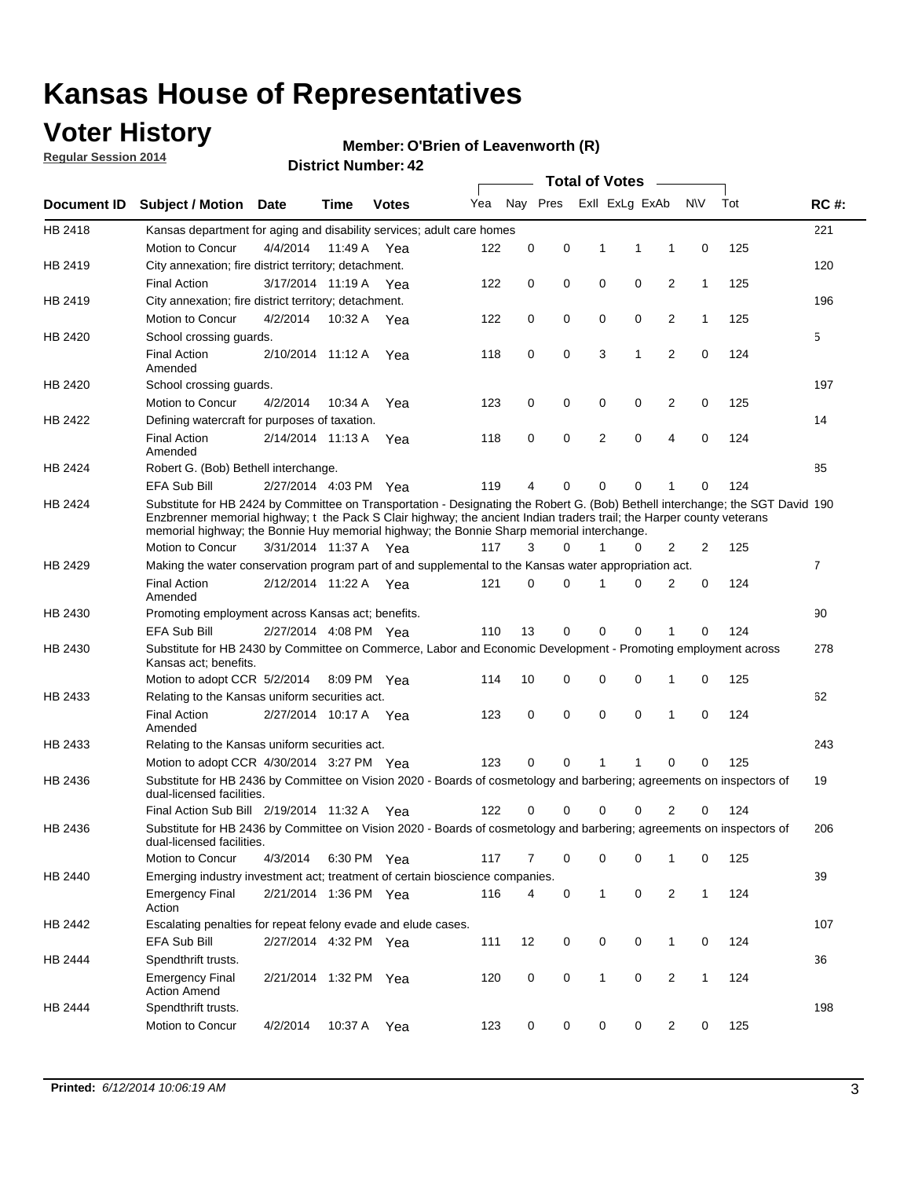### **Voter History**

**Regular Session 2014**

#### **O'Brien of Leavenworth (R)**

|             |                                                                                                                                                                                                                                                                                                                                                      |                       |             | DISTICT MAILDEL, 42 |     |          |          |              | Total of Votes –        |                |              |     |                |
|-------------|------------------------------------------------------------------------------------------------------------------------------------------------------------------------------------------------------------------------------------------------------------------------------------------------------------------------------------------------------|-----------------------|-------------|---------------------|-----|----------|----------|--------------|-------------------------|----------------|--------------|-----|----------------|
| Document ID | <b>Subject / Motion</b>                                                                                                                                                                                                                                                                                                                              | Date                  | Time        | <b>Votes</b>        | Yea |          |          |              | Nay Pres ExII ExLg ExAb |                | <b>NV</b>    | Tot | <b>RC#:</b>    |
| HB 2418     | Kansas department for aging and disability services; adult care homes                                                                                                                                                                                                                                                                                |                       |             |                     |     |          |          |              |                         |                |              |     | 221            |
|             | Motion to Concur                                                                                                                                                                                                                                                                                                                                     | 4/4/2014              | 11:49 A     | Yea                 | 122 | 0        | 0        | 1            | 1                       | 1              | 0            | 125 |                |
| HB 2419     | City annexation; fire district territory; detachment.                                                                                                                                                                                                                                                                                                |                       |             |                     |     |          |          |              |                         |                |              |     | 120            |
|             | <b>Final Action</b>                                                                                                                                                                                                                                                                                                                                  | 3/17/2014 11:19 A     |             | Yea                 | 122 | 0        | 0        | 0            | 0                       | 2              | 1            | 125 |                |
| HB 2419     | City annexation; fire district territory; detachment.                                                                                                                                                                                                                                                                                                |                       |             |                     |     |          |          |              |                         |                |              |     | 196            |
|             | Motion to Concur                                                                                                                                                                                                                                                                                                                                     | 4/2/2014              | 10:32 A     | Yea                 | 122 | 0        | 0        | 0            | 0                       | 2              | $\mathbf{1}$ | 125 |                |
| HB 2420     | School crossing guards.                                                                                                                                                                                                                                                                                                                              |                       |             |                     |     |          |          |              |                         |                |              |     | 5              |
|             | <b>Final Action</b><br>Amended                                                                                                                                                                                                                                                                                                                       | 2/10/2014 11:12 A     |             | Yea                 | 118 | 0        | 0        | 3            | 1                       | $\overline{2}$ | 0            | 124 |                |
| HB 2420     | School crossing guards.                                                                                                                                                                                                                                                                                                                              |                       |             |                     |     |          |          |              |                         |                |              |     | 197            |
|             | Motion to Concur                                                                                                                                                                                                                                                                                                                                     | 4/2/2014              | 10:34 A     | Yea                 | 123 | 0        | 0        | 0            | 0                       | 2              | 0            | 125 |                |
| HB 2422     | Defining watercraft for purposes of taxation.                                                                                                                                                                                                                                                                                                        |                       |             |                     |     |          |          |              |                         |                |              |     | 14             |
|             | <b>Final Action</b><br>Amended                                                                                                                                                                                                                                                                                                                       | 2/14/2014 11:13 A     |             | Yea                 | 118 | 0        | 0        | 2            | 0                       | 4              | 0            | 124 |                |
| HB 2424     | Robert G. (Bob) Bethell interchange.                                                                                                                                                                                                                                                                                                                 |                       |             |                     |     |          |          |              |                         |                |              |     | 85             |
|             | <b>EFA Sub Bill</b>                                                                                                                                                                                                                                                                                                                                  | 2/27/2014 4:03 PM Yea |             |                     | 119 | 4        | 0        | 0            | 0                       | 1              | 0            | 124 |                |
| HB 2424     | Substitute for HB 2424 by Committee on Transportation - Designating the Robert G. (Bob) Bethell interchange; the SGT David 190<br>Enzbrenner memorial highway; t the Pack S Clair highway; the ancient Indian traders trail; the Harper county veterans<br>memorial highway; the Bonnie Huy memorial highway; the Bonnie Sharp memorial interchange. |                       |             |                     |     |          |          |              |                         |                |              |     |                |
|             | Motion to Concur                                                                                                                                                                                                                                                                                                                                     | 3/31/2014 11:37 A Yea |             |                     | 117 | 3        | $\Omega$ | 1            | 0                       | 2              | 2            | 125 |                |
| HB 2429     | Making the water conservation program part of and supplemental to the Kansas water appropriation act.                                                                                                                                                                                                                                                |                       |             |                     |     |          |          |              |                         |                |              |     | $\overline{7}$ |
|             | <b>Final Action</b><br>Amended                                                                                                                                                                                                                                                                                                                       | 2/12/2014 11:22 A Yea |             |                     | 121 | $\Omega$ | 0        | 1            | 0                       | 2              | 0            | 124 |                |
| HB 2430     | Promoting employment across Kansas act; benefits.                                                                                                                                                                                                                                                                                                    |                       |             |                     |     |          |          |              |                         |                |              |     | 90             |
|             | <b>EFA Sub Bill</b>                                                                                                                                                                                                                                                                                                                                  | 2/27/2014 4:08 PM Yea |             |                     | 110 | 13       | 0        | 0            | 0                       |                | 0            | 124 |                |
| HB 2430     | Substitute for HB 2430 by Committee on Commerce, Labor and Economic Development - Promoting employment across<br>Kansas act; benefits.                                                                                                                                                                                                               |                       |             |                     |     |          |          |              |                         |                |              |     | 278            |
|             | Motion to adopt CCR 5/2/2014                                                                                                                                                                                                                                                                                                                         |                       | 8:09 PM Yea |                     | 114 | 10       | 0        | 0            | 0                       | 1              | 0            | 125 |                |
| HB 2433     | Relating to the Kansas uniform securities act.                                                                                                                                                                                                                                                                                                       |                       |             |                     |     |          |          |              |                         |                |              |     | 62             |
|             | <b>Final Action</b><br>Amended                                                                                                                                                                                                                                                                                                                       | 2/27/2014 10:17 A Yea |             |                     | 123 | 0        | 0        | $\mathbf 0$  | 0                       | 1              | $\mathbf 0$  | 124 |                |
| HB 2433     | Relating to the Kansas uniform securities act.                                                                                                                                                                                                                                                                                                       |                       |             |                     |     |          |          |              |                         |                |              |     | 243            |
|             | Motion to adopt CCR 4/30/2014 3:27 PM Yea                                                                                                                                                                                                                                                                                                            |                       |             |                     | 123 | $\Omega$ | $\Omega$ | 1            | 1                       | 0              | 0            | 125 |                |
| HB 2436     | Substitute for HB 2436 by Committee on Vision 2020 - Boards of cosmetology and barbering; agreements on inspectors of<br>dual-licensed facilities.                                                                                                                                                                                                   |                       |             |                     |     |          |          |              |                         |                |              |     | 19             |
|             | Final Action Sub Bill 2/19/2014 11:32 A                                                                                                                                                                                                                                                                                                              |                       |             | Yea                 | 122 |          | 0        | 0            | 0                       | 2              | 0            | 124 |                |
| HB 2436     | Substitute for HB 2436 by Committee on Vision 2020 - Boards of cosmetology and barbering; agreements on inspectors of<br>dual-licensed facilities.                                                                                                                                                                                                   |                       |             |                     |     |          |          |              |                         |                |              |     | 206            |
|             | Motion to Concur                                                                                                                                                                                                                                                                                                                                     | 4/3/2014              | 6:30 PM Yea |                     | 117 | 7        | 0        | 0            | 0                       | 1              | 0            | 125 |                |
| HB 2440     | Emerging industry investment act; treatment of certain bioscience companies.                                                                                                                                                                                                                                                                         |                       |             |                     |     |          |          |              |                         |                |              |     | 39             |
|             | <b>Emergency Final</b><br>Action                                                                                                                                                                                                                                                                                                                     | 2/21/2014 1:36 PM Yea |             |                     | 116 | 4        | 0        | 1            | $\mathsf 0$             | $\overline{2}$ | $\mathbf{1}$ | 124 |                |
| HB 2442     | Escalating penalties for repeat felony evade and elude cases.                                                                                                                                                                                                                                                                                        |                       |             |                     |     |          |          |              |                         |                |              |     | 107            |
|             | EFA Sub Bill                                                                                                                                                                                                                                                                                                                                         | 2/27/2014 4:32 PM Yea |             |                     | 111 | 12       | 0        | 0            | 0                       | $\mathbf{1}$   | 0            | 124 |                |
| HB 2444     | Spendthrift trusts.                                                                                                                                                                                                                                                                                                                                  |                       |             |                     |     |          |          |              |                         |                |              |     | 36             |
|             | <b>Emergency Final</b><br><b>Action Amend</b>                                                                                                                                                                                                                                                                                                        | 2/21/2014 1:32 PM Yea |             |                     | 120 | 0        | 0        | $\mathbf{1}$ | 0                       | $\overline{2}$ | $\mathbf{1}$ | 124 |                |
| HB 2444     | Spendthrift trusts.                                                                                                                                                                                                                                                                                                                                  |                       |             |                     |     |          |          |              |                         |                |              |     | 198            |
|             | Motion to Concur                                                                                                                                                                                                                                                                                                                                     | 4/2/2014              | 10:37 A Yea |                     | 123 | 0        | 0        | 0            | 0                       | $\overline{2}$ | 0            | 125 |                |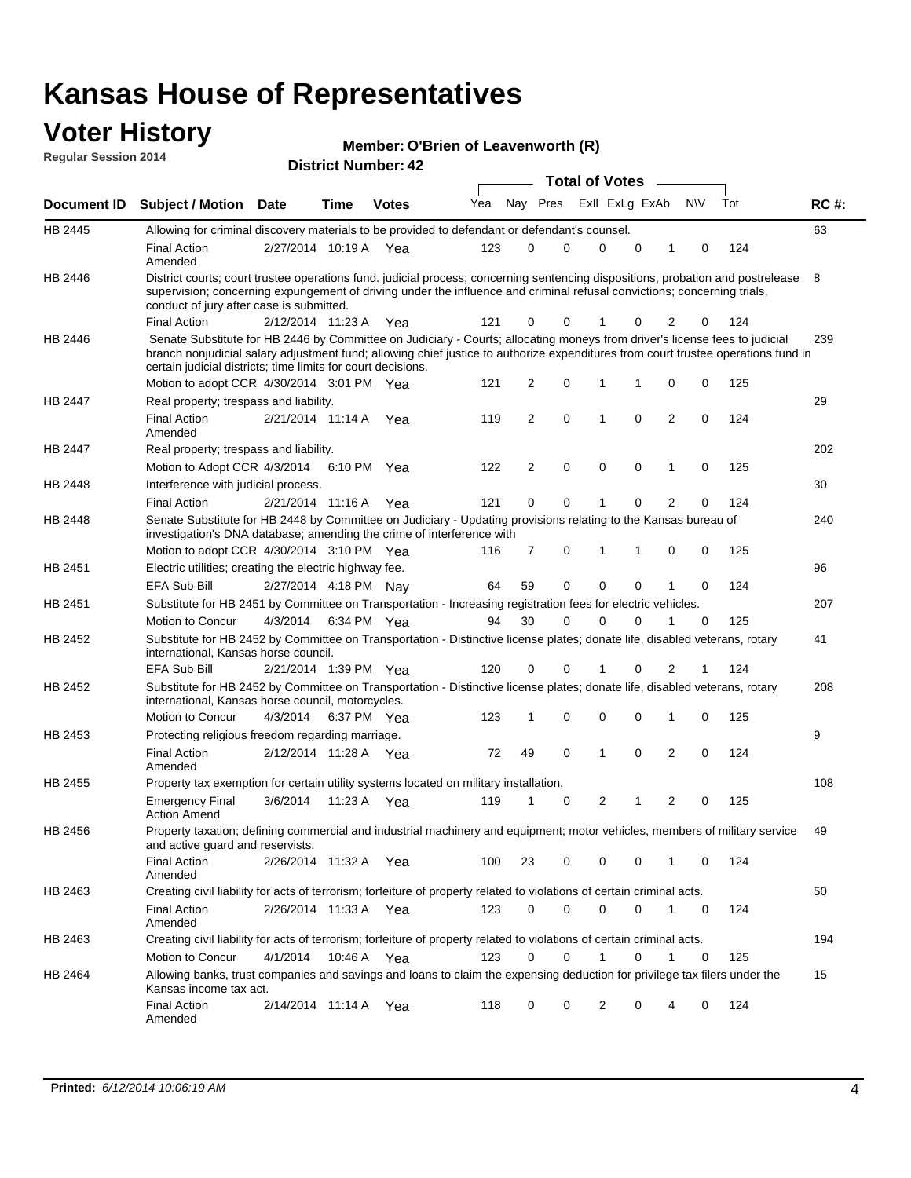#### **Voter History Regular Session 2014**

|  |  | Member: O'Brien of Leavenworth (R) |  |
|--|--|------------------------------------|--|
|--|--|------------------------------------|--|

|                    |                                                                                                                                                                                                                                                                                                                                 |                       |             |              |     |    |                         | <b>Total of Votes</b> |   |                |             |     |             |
|--------------------|---------------------------------------------------------------------------------------------------------------------------------------------------------------------------------------------------------------------------------------------------------------------------------------------------------------------------------|-----------------------|-------------|--------------|-----|----|-------------------------|-----------------------|---|----------------|-------------|-----|-------------|
| <b>Document ID</b> | <b>Subject / Motion</b>                                                                                                                                                                                                                                                                                                         | <b>Date</b>           | Time        | <b>Votes</b> | Yea |    | Nay Pres ExII ExLg ExAb |                       |   |                | <b>NV</b>   | Tot | <b>RC#:</b> |
| <b>HB 2445</b>     | Allowing for criminal discovery materials to be provided to defendant or defendant's counsel.                                                                                                                                                                                                                                   |                       |             |              |     |    |                         |                       |   |                |             |     | 63          |
|                    | <b>Final Action</b><br>Amended                                                                                                                                                                                                                                                                                                  | 2/27/2014 10:19 A     |             | Yea          | 123 | 0  | $\Omega$                | $\Omega$              | 0 | 1              | 0           | 124 |             |
| HB 2446            | District courts; court trustee operations fund. judicial process; concerning sentencing dispositions, probation and postrelease<br>supervision; concerning expungement of driving under the influence and criminal refusal convictions; concerning trials,<br>conduct of jury after case is submitted.                          |                       |             |              |     |    |                         |                       |   |                |             |     | 8           |
|                    | <b>Final Action</b>                                                                                                                                                                                                                                                                                                             | 2/12/2014 11:23 A Yea |             |              | 121 | 0  | 0                       |                       | 0 | 2              | 0           | 124 |             |
| HB 2446            | Senate Substitute for HB 2446 by Committee on Judiciary - Courts; allocating moneys from driver's license fees to judicial<br>branch nonjudicial salary adjustment fund; allowing chief justice to authorize expenditures from court trustee operations fund in<br>certain judicial districts; time limits for court decisions. |                       |             |              |     |    |                         |                       |   |                |             |     | 239         |
|                    | Motion to adopt CCR 4/30/2014 3:01 PM Yea                                                                                                                                                                                                                                                                                       |                       |             |              | 121 | 2  | 0                       | 1                     |   | 0              | 0           | 125 |             |
| <b>HB 2447</b>     | Real property; trespass and liability.                                                                                                                                                                                                                                                                                          |                       |             |              |     |    |                         |                       |   |                |             |     | 29          |
|                    | <b>Final Action</b><br>Amended                                                                                                                                                                                                                                                                                                  | 2/21/2014 11:14 A     |             | Yea          | 119 | 2  | 0                       | 1                     | 0 | $\overline{2}$ | 0           | 124 |             |
| HB 2447            | Real property; trespass and liability.                                                                                                                                                                                                                                                                                          |                       |             |              |     |    |                         |                       |   |                |             |     | 202         |
|                    | Motion to Adopt CCR 4/3/2014                                                                                                                                                                                                                                                                                                    |                       | 6:10 PM Yea |              | 122 | 2  | 0                       | 0                     | 0 | 1              | 0           | 125 |             |
| HB 2448            | Interference with judicial process.                                                                                                                                                                                                                                                                                             |                       |             |              |     |    |                         |                       |   |                |             |     | 30          |
|                    | <b>Final Action</b>                                                                                                                                                                                                                                                                                                             | 2/21/2014 11:16 A Yea |             |              | 121 | 0  | 0                       | 1                     | 0 | $\overline{2}$ | 0           | 124 |             |
| HB 2448            | Senate Substitute for HB 2448 by Committee on Judiciary - Updating provisions relating to the Kansas bureau of<br>investigation's DNA database; amending the crime of interference with                                                                                                                                         |                       |             |              |     |    |                         |                       |   |                |             |     | 240         |
|                    | Motion to adopt CCR 4/30/2014 3:10 PM Yea                                                                                                                                                                                                                                                                                       |                       |             |              | 116 | 7  | 0                       | 1                     | 1 | 0              | 0           | 125 |             |
| HB 2451            | Electric utilities; creating the electric highway fee.                                                                                                                                                                                                                                                                          |                       |             |              |     |    |                         |                       |   |                |             |     | 96          |
|                    | EFA Sub Bill                                                                                                                                                                                                                                                                                                                    | 2/27/2014 4:18 PM Nay |             |              | 64  | 59 | 0                       | $\Omega$              | 0 |                | 0           | 124 |             |
| HB 2451            | Substitute for HB 2451 by Committee on Transportation - Increasing registration fees for electric vehicles.                                                                                                                                                                                                                     |                       |             |              |     |    |                         |                       |   |                |             |     | 207         |
|                    | Motion to Concur                                                                                                                                                                                                                                                                                                                | 4/3/2014              |             | 6:34 PM Yea  | 94  | 30 | 0                       | $\Omega$              | 0 |                | 0           | 125 |             |
| HB 2452            | Substitute for HB 2452 by Committee on Transportation - Distinctive license plates; donate life, disabled veterans, rotary<br>international, Kansas horse council.                                                                                                                                                              |                       |             |              |     |    |                         |                       |   |                |             |     | 41          |
|                    | EFA Sub Bill                                                                                                                                                                                                                                                                                                                    | 2/21/2014 1:39 PM Yea |             |              | 120 | 0  | 0                       |                       | 0 | 2              | 1           | 124 |             |
| HB 2452            | Substitute for HB 2452 by Committee on Transportation - Distinctive license plates; donate life, disabled veterans, rotary<br>international, Kansas horse council, motorcycles.                                                                                                                                                 |                       |             |              |     |    |                         |                       |   |                |             |     | 208         |
|                    | Motion to Concur                                                                                                                                                                                                                                                                                                                | 4/3/2014              |             | 6:37 PM Yea  | 123 | 1  | 0                       | 0                     | 0 | 1              | 0           | 125 |             |
| HB 2453            | Protecting religious freedom regarding marriage.                                                                                                                                                                                                                                                                                |                       |             |              |     |    |                         |                       |   |                |             |     | 9           |
|                    | <b>Final Action</b><br>Amended                                                                                                                                                                                                                                                                                                  | 2/12/2014 11:28 A Yea |             |              | 72  | 49 | 0                       | 1                     | 0 | $\overline{2}$ | 0           | 124 |             |
| HB 2455            | Property tax exemption for certain utility systems located on military installation.                                                                                                                                                                                                                                            |                       |             |              |     |    |                         |                       |   |                |             |     | 108         |
|                    | <b>Emergency Final</b><br><b>Action Amend</b>                                                                                                                                                                                                                                                                                   | 3/6/2014              |             | 11:23 A Yea  | 119 | 1  | 0                       | 2                     | 1 | $\overline{2}$ | 0           | 125 |             |
| HB 2456            | Property taxation; defining commercial and industrial machinery and equipment; motor vehicles, members of military service<br>and active guard and reservists.                                                                                                                                                                  |                       |             |              |     |    |                         |                       |   |                |             |     | 49          |
|                    | <b>Final Action</b><br>Amended                                                                                                                                                                                                                                                                                                  | 2/26/2014 11:32 A Yea |             |              | 100 | 23 | 0                       | 0                     | 0 | 1              | 0           | 124 |             |
| HB 2463            | Creating civil liability for acts of terrorism; forfeiture of property related to violations of certain criminal acts.                                                                                                                                                                                                          |                       |             |              |     |    |                         |                       |   |                |             |     | 50          |
|                    | <b>Final Action</b><br>Amended                                                                                                                                                                                                                                                                                                  | 2/26/2014 11:33 A Yea |             |              | 123 | 0  | 0                       | 0                     | 0 | $\mathbf{1}$   | 0           | 124 |             |
| HB 2463            | Creating civil liability for acts of terrorism; forfeiture of property related to violations of certain criminal acts.                                                                                                                                                                                                          |                       |             |              |     |    |                         |                       |   |                |             |     | 194         |
|                    | Motion to Concur                                                                                                                                                                                                                                                                                                                | 4/1/2014              |             | 10:46 A Yea  | 123 | 0  | 0                       | 1                     | 0 | 1              | $\mathbf 0$ | 125 |             |
| HB 2464            | Allowing banks, trust companies and savings and loans to claim the expensing deduction for privilege tax filers under the<br>Kansas income tax act.                                                                                                                                                                             |                       |             |              |     |    |                         |                       |   |                |             |     | 15          |
|                    | <b>Final Action</b><br>Amended                                                                                                                                                                                                                                                                                                  | 2/14/2014 11:14 A Yea |             |              | 118 | 0  | 0                       | 2                     | 0 |                | 0           | 124 |             |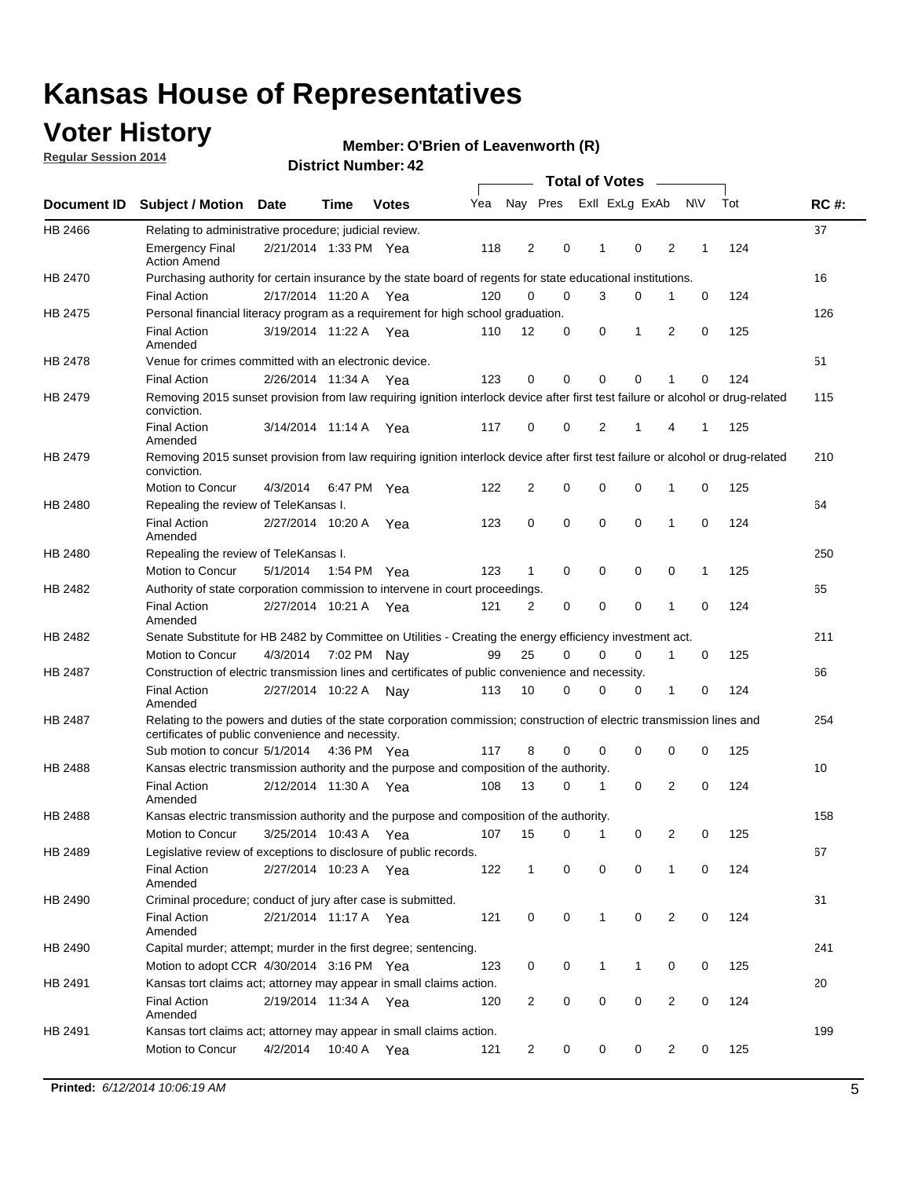### **Voter History**

**Regular Session 2014**

#### **O'Brien of Leavenworth (R)**

|                |                                                                                                                                                                             |                       |             |              |     |          |             | <b>Total of Votes</b> |             |   |             |     |             |
|----------------|-----------------------------------------------------------------------------------------------------------------------------------------------------------------------------|-----------------------|-------------|--------------|-----|----------|-------------|-----------------------|-------------|---|-------------|-----|-------------|
|                | Document ID Subject / Motion Date                                                                                                                                           |                       | Time        | <b>Votes</b> | Yea | Nay Pres |             | Exll ExLg ExAb        |             |   | <b>NV</b>   | Tot | <b>RC#:</b> |
| HB 2466        | Relating to administrative procedure; judicial review.                                                                                                                      |                       |             |              |     |          |             |                       |             |   |             |     | 37          |
|                | <b>Emergency Final</b><br><b>Action Amend</b>                                                                                                                               | 2/21/2014 1:33 PM Yea |             |              | 118 | 2        | 0           | 1                     | $\mathbf 0$ | 2 | 1           | 124 |             |
| HB 2470        | Purchasing authority for certain insurance by the state board of regents for state educational institutions.                                                                |                       |             |              |     |          |             |                       |             |   |             |     | 16          |
|                | <b>Final Action</b>                                                                                                                                                         | 2/17/2014 11:20 A Yea |             |              | 120 | 0        | 0           | 3                     | 0           | 1 | 0           | 124 |             |
| HB 2475        | Personal financial literacy program as a requirement for high school graduation.                                                                                            |                       |             |              |     |          |             |                       |             |   |             |     | 126         |
|                | <b>Final Action</b><br>Amended                                                                                                                                              | 3/19/2014 11:22 A Yea |             |              | 110 | 12       | 0           | 0                     | 1           | 2 | 0           | 125 |             |
| HB 2478        | Venue for crimes committed with an electronic device.                                                                                                                       |                       |             |              |     |          |             |                       |             |   |             |     | 51          |
|                | <b>Final Action</b>                                                                                                                                                         | 2/26/2014 11:34 A     |             | Yea          | 123 | 0        | $\mathbf 0$ | $\mathbf 0$           | $\mathbf 0$ | 1 | 0           | 124 |             |
| HB 2479        | Removing 2015 sunset provision from law requiring ignition interlock device after first test failure or alcohol or drug-related<br>conviction.                              |                       |             |              |     |          |             |                       |             |   |             |     | 115         |
|                | <b>Final Action</b><br>Amended                                                                                                                                              | 3/14/2014 11:14 A     |             | Yea          | 117 | 0        | 0           | 2                     | 1           | 4 | 1           | 125 |             |
| HB 2479        | Removing 2015 sunset provision from law requiring ignition interlock device after first test failure or alcohol or drug-related<br>conviction.                              |                       |             |              |     |          |             |                       |             |   |             |     | 210         |
|                | Motion to Concur                                                                                                                                                            | 4/3/2014              |             | 6:47 PM Yea  | 122 | 2        | 0           | 0                     | 0           | 1 | 0           | 125 |             |
| HB 2480        | Repealing the review of TeleKansas I.                                                                                                                                       |                       |             |              |     |          |             |                       |             |   |             |     | 64          |
|                | <b>Final Action</b><br>Amended                                                                                                                                              | 2/27/2014 10:20 A     |             | Yea          | 123 | 0        | 0           | $\mathbf 0$           | $\mathbf 0$ | 1 | 0           | 124 |             |
| <b>HB 2480</b> | Repealing the review of TeleKansas I.                                                                                                                                       |                       |             |              |     |          |             |                       |             |   |             |     | 250         |
|                | Motion to Concur                                                                                                                                                            | 5/1/2014              |             | 1:54 PM Yea  | 123 | 1        | 0           | 0                     | $\mathbf 0$ | 0 | 1           | 125 |             |
| HB 2482        | Authority of state corporation commission to intervene in court proceedings.                                                                                                |                       |             |              |     |          |             |                       |             |   |             |     | 65          |
|                | <b>Final Action</b><br>Amended                                                                                                                                              | 2/27/2014 10:21 A     |             | Yea          | 121 | 2        | 0           | 0                     | $\mathbf 0$ | 1 | $\mathbf 0$ | 124 |             |
| HB 2482        | Senate Substitute for HB 2482 by Committee on Utilities - Creating the energy efficiency investment act.                                                                    |                       |             |              |     |          |             |                       |             |   |             |     | 211         |
|                | Motion to Concur                                                                                                                                                            | 4/3/2014              | 7:02 PM Nay |              | 99  | 25       | $\mathbf 0$ | 0                     | 0           | 1 | 0           | 125 |             |
| HB 2487        | Construction of electric transmission lines and certificates of public convenience and necessity.                                                                           |                       |             |              |     |          |             |                       |             |   |             |     | 66          |
|                | <b>Final Action</b><br>Amended                                                                                                                                              | 2/27/2014 10:22 A     |             | Nav          | 113 | 10       | 0           | 0                     | 0           | 1 | 0           | 124 |             |
| HB 2487        | Relating to the powers and duties of the state corporation commission; construction of electric transmission lines and<br>certificates of public convenience and necessity. |                       |             |              |     |          |             |                       |             |   |             |     | 254         |
|                | Sub motion to concur 5/1/2014                                                                                                                                               |                       |             | 4:36 PM Yea  | 117 | 8        | 0           | 0                     | $\mathbf 0$ | 0 | 0           | 125 |             |
| <b>HB 2488</b> | Kansas electric transmission authority and the purpose and composition of the authority.                                                                                    |                       |             |              |     |          |             |                       |             |   |             |     | 10          |
|                | <b>Final Action</b><br>Amended                                                                                                                                              | 2/12/2014 11:30 A Yea |             |              | 108 | 13       | 0           | 1                     | 0           | 2 | $\mathbf 0$ | 124 |             |
| <b>HB 2488</b> | Kansas electric transmission authority and the purpose and composition of the authority.                                                                                    |                       |             |              |     |          |             |                       |             |   |             |     | 158         |
|                | Motion to Concur                                                                                                                                                            | 3/25/2014 10:43 A     |             | Yea          | 107 | 15       | 0           | 1                     | 0           | 2 | 0           | 125 |             |
| HB 2489        | Legislative review of exceptions to disclosure of public records.                                                                                                           |                       |             |              |     |          |             |                       |             |   |             |     | 67          |
|                | <b>Final Action</b><br>Amended                                                                                                                                              | 2/27/2014 10:23 A Yea |             |              | 122 | 1        | 0           | 0                     | $\mathbf 0$ | 1 | 0           | 124 |             |
| HB 2490        | Criminal procedure; conduct of jury after case is submitted.                                                                                                                |                       |             |              |     |          |             |                       |             |   |             |     | 31          |
|                | <b>Final Action</b><br>Amended                                                                                                                                              | 2/21/2014 11:17 A Yea |             |              | 121 | 0        | 0           | $\mathbf{1}$          | $\mathbf 0$ | 2 | 0           | 124 |             |
| HB 2490        | Capital murder; attempt; murder in the first degree; sentencing.                                                                                                            |                       |             |              |     |          |             |                       |             |   |             |     | 241         |
|                | Motion to adopt CCR 4/30/2014 3:16 PM Yea                                                                                                                                   |                       |             |              | 123 | 0        | 0           | $\mathbf{1}$          | 1           | 0 | 0           | 125 |             |
| HB 2491        | Kansas tort claims act; attorney may appear in small claims action.                                                                                                         |                       |             |              |     |          |             |                       |             |   |             |     | 20          |
|                | <b>Final Action</b><br>Amended                                                                                                                                              | 2/19/2014 11:34 A Yea |             |              | 120 | 2        | 0           | 0                     | $\pmb{0}$   | 2 | 0           | 124 |             |
| HB 2491        | Kansas tort claims act; attorney may appear in small claims action.                                                                                                         |                       |             |              |     |          |             |                       |             |   |             |     | 199         |
|                | Motion to Concur                                                                                                                                                            | 4/2/2014              |             | 10:40 A Yea  | 121 | 2        | 0           | 0                     | 0           | 2 | 0           | 125 |             |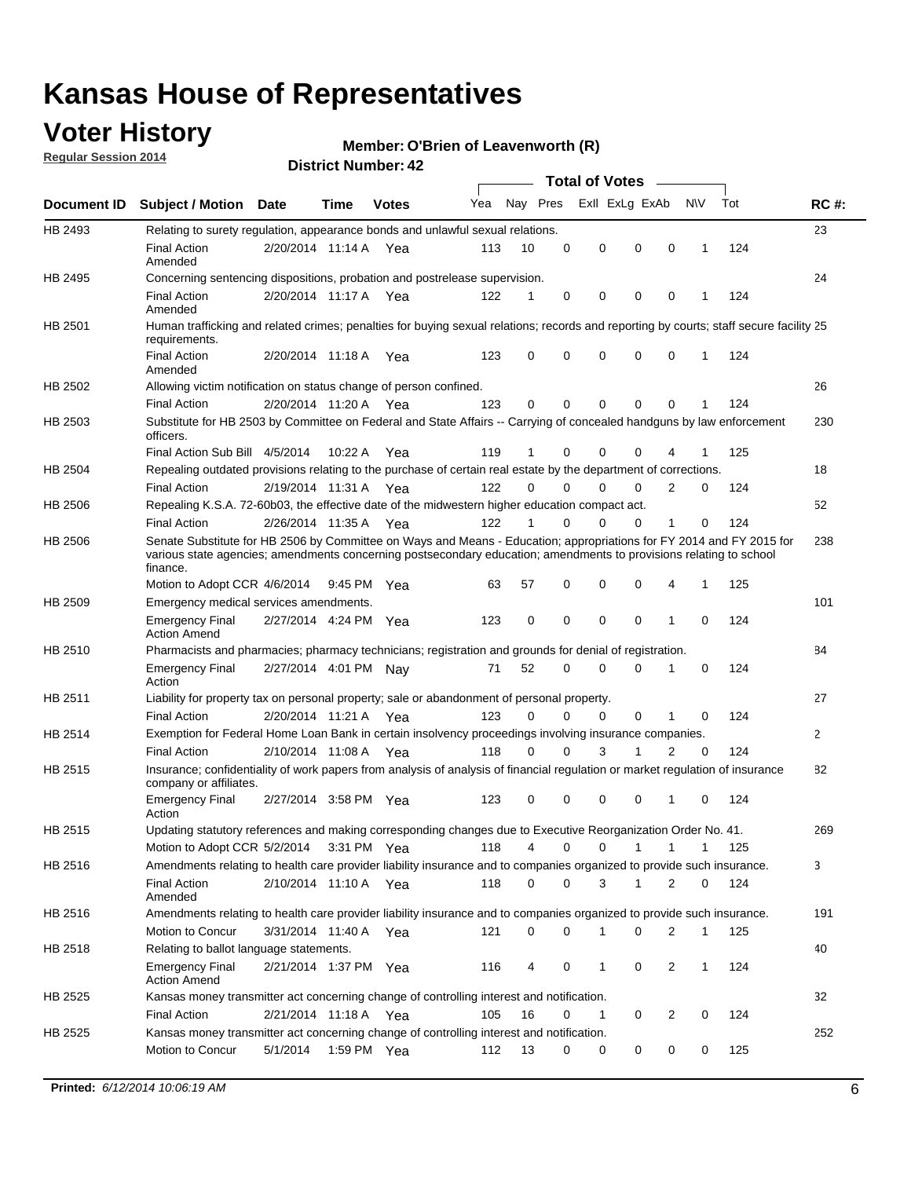### **Voter History**

**Regular Session 2014**

#### **O'Brien of Leavenworth (R)**

|                    |                                                                                                                                                                                                                                                        |                       |             |              |     |          |          | <b>Total of Votes</b> |              |                |              |     |              |
|--------------------|--------------------------------------------------------------------------------------------------------------------------------------------------------------------------------------------------------------------------------------------------------|-----------------------|-------------|--------------|-----|----------|----------|-----------------------|--------------|----------------|--------------|-----|--------------|
| <b>Document ID</b> | <b>Subject / Motion Date</b>                                                                                                                                                                                                                           |                       | Time        | <b>Votes</b> | Yea | Nay Pres |          | Exll ExLg ExAb        |              |                | <b>NV</b>    | Tot | <b>RC#:</b>  |
| HB 2493            | Relating to surety regulation, appearance bonds and unlawful sexual relations.                                                                                                                                                                         |                       |             |              |     |          |          |                       |              |                |              |     | 23           |
|                    | <b>Final Action</b><br>Amended                                                                                                                                                                                                                         | 2/20/2014 11:14 A     |             | Yea          | 113 | 10       | 0        | 0                     | $\mathbf 0$  | 0              | $\mathbf 1$  | 124 |              |
| HB 2495            | Concerning sentencing dispositions, probation and postrelease supervision.                                                                                                                                                                             |                       |             |              |     |          |          |                       |              |                |              |     | 24           |
|                    | <b>Final Action</b><br>Amended                                                                                                                                                                                                                         | 2/20/2014 11:17 A Yea |             |              | 122 | 1        | 0        | 0                     | $\mathbf 0$  | $\mathbf 0$    | -1           | 124 |              |
| HB 2501            | Human trafficking and related crimes; penalties for buying sexual relations; records and reporting by courts; staff secure facility 25<br>requirements.                                                                                                |                       |             |              |     |          |          |                       |              |                |              |     |              |
|                    | <b>Final Action</b><br>Amended                                                                                                                                                                                                                         | 2/20/2014 11:18 A Yea |             |              | 123 | $\Omega$ | 0        | 0                     | $\Omega$     | $\mathbf 0$    | 1            | 124 |              |
| HB 2502            | Allowing victim notification on status change of person confined.                                                                                                                                                                                      |                       |             |              |     |          |          |                       |              |                |              |     | 26           |
|                    | <b>Final Action</b>                                                                                                                                                                                                                                    | 2/20/2014 11:20 A Yea |             |              | 123 | $\Omega$ | 0        | $\mathbf{0}$          | $\Omega$     | $\Omega$       |              | 124 |              |
| HB 2503            | Substitute for HB 2503 by Committee on Federal and State Affairs -- Carrying of concealed handguns by law enforcement<br>officers.                                                                                                                     |                       |             |              |     |          |          |                       |              |                |              |     | 230          |
|                    | Final Action Sub Bill 4/5/2014                                                                                                                                                                                                                         |                       | 10:22 A     | Yea          | 119 |          | 0        | 0                     | 0            | 4              |              | 125 |              |
| HB 2504            | Repealing outdated provisions relating to the purchase of certain real estate by the department of corrections.                                                                                                                                        |                       |             |              |     |          |          |                       |              |                |              |     | 18           |
|                    | <b>Final Action</b>                                                                                                                                                                                                                                    | 2/19/2014 11:31 A Yea |             |              | 122 | $\Omega$ | $\Omega$ | 0                     | $\mathbf{0}$ | $\overline{2}$ | 0            | 124 |              |
| HB 2506            | Repealing K.S.A. 72-60b03, the effective date of the midwestern higher education compact act.                                                                                                                                                          |                       |             |              |     |          |          |                       |              |                |              |     | 52           |
|                    | <b>Final Action</b>                                                                                                                                                                                                                                    | 2/26/2014 11:35 A Yea |             |              | 122 |          | $\Omega$ | 0                     | 0            | 1              | 0            | 124 |              |
| HB 2506            | Senate Substitute for HB 2506 by Committee on Ways and Means - Education; appropriations for FY 2014 and FY 2015 for<br>various state agencies; amendments concerning postsecondary education; amendments to provisions relating to school<br>finance. |                       |             |              |     |          |          |                       |              |                |              |     | 238          |
|                    | Motion to Adopt CCR 4/6/2014                                                                                                                                                                                                                           |                       | 9:45 PM Yea |              | 63  | 57       | 0        | 0                     | 0            | 4              | -1           | 125 |              |
| HB 2509            | Emergency medical services amendments.                                                                                                                                                                                                                 |                       |             |              |     |          |          |                       |              |                |              |     | 101          |
|                    | Emergency Final<br><b>Action Amend</b>                                                                                                                                                                                                                 | 2/27/2014 4:24 PM Yea |             |              | 123 | 0        | 0        | $\mathbf 0$           | 0            | $\mathbf{1}$   | 0            | 124 |              |
| HB 2510            | Pharmacists and pharmacies; pharmacy technicians; registration and grounds for denial of registration.                                                                                                                                                 |                       |             |              |     |          |          |                       |              |                |              |     | 84           |
|                    | <b>Emergency Final</b><br>Action                                                                                                                                                                                                                       | 2/27/2014 4:01 PM Nay |             |              | 71  | 52       | 0        | 0                     | 0            | 1              | 0            | 124 |              |
| HB 2511            | Liability for property tax on personal property; sale or abandonment of personal property.                                                                                                                                                             |                       |             |              |     |          |          |                       |              |                |              |     | 27           |
|                    | <b>Final Action</b>                                                                                                                                                                                                                                    | 2/20/2014 11:21 A     |             | Yea          | 123 | $\Omega$ | $\Omega$ | 0                     | 0            | 1              | 0            | 124 |              |
| HB 2514            | Exemption for Federal Home Loan Bank in certain insolvency proceedings involving insurance companies.                                                                                                                                                  |                       |             |              |     |          |          |                       |              |                |              |     | $\mathbf{2}$ |
|                    | <b>Final Action</b>                                                                                                                                                                                                                                    | 2/10/2014 11:08 A     |             | Yea          | 118 | $\Omega$ | $\Omega$ | 3                     | 1            | 2              | $\mathbf 0$  | 124 |              |
| HB 2515            | Insurance; confidentiality of work papers from analysis of analysis of financial regulation or market regulation of insurance<br>company or affiliates.                                                                                                |                       |             |              |     |          |          |                       |              |                |              |     | 82           |
|                    | <b>Emergency Final</b><br>Action                                                                                                                                                                                                                       | 2/27/2014 3:58 PM Yea |             |              | 123 | 0        | 0        | 0                     | 0            | 1              | 0            | 124 |              |
| HB 2515            | Updating statutory references and making corresponding changes due to Executive Reorganization Order No. 41.                                                                                                                                           |                       |             |              |     |          |          |                       |              |                |              |     | 269          |
|                    | Motion to Adopt CCR 5/2/2014 3:31 PM Yea                                                                                                                                                                                                               |                       |             |              | 118 | 4        | 0        | 0                     | $\mathbf{1}$ | $\mathbf{1}$   | $\mathbf{1}$ | 125 |              |
| HB 2516            | Amendments relating to health care provider liability insurance and to companies organized to provide such insurance.                                                                                                                                  |                       |             |              |     |          |          |                       |              |                |              |     | 3            |
|                    | <b>Final Action</b><br>Amended                                                                                                                                                                                                                         | 2/10/2014 11:10 A Yea |             |              | 118 | 0        | 0        | 3                     | 1            | 2              | 0            | 124 |              |
| HB 2516            | Amendments relating to health care provider liability insurance and to companies organized to provide such insurance.                                                                                                                                  |                       |             |              |     |          |          |                       |              |                |              |     | 191          |
|                    | Motion to Concur                                                                                                                                                                                                                                       | 3/31/2014 11:40 A Yea |             |              | 121 | 0        | 0        | 1                     | 0            | 2              | $\mathbf{1}$ | 125 |              |
| HB 2518            | Relating to ballot language statements.                                                                                                                                                                                                                |                       |             |              |     |          |          |                       |              |                |              |     | 40           |
|                    | Emergency Final<br><b>Action Amend</b>                                                                                                                                                                                                                 | 2/21/2014 1:37 PM Yea |             |              | 116 | 4        | 0        | 1                     | 0            | 2              | 1            | 124 |              |
| HB 2525            | Kansas money transmitter act concerning change of controlling interest and notification.                                                                                                                                                               |                       |             |              |     |          |          |                       |              |                |              |     | 32           |
|                    | <b>Final Action</b>                                                                                                                                                                                                                                    | 2/21/2014 11:18 A Yea |             |              | 105 | 16       | 0        | $\mathbf{1}$          | 0            | 2              | 0            | 124 |              |
| HB 2525            | Kansas money transmitter act concerning change of controlling interest and notification.                                                                                                                                                               |                       |             |              |     |          |          |                       |              |                |              |     | 252          |
|                    | Motion to Concur                                                                                                                                                                                                                                       | 5/1/2014              |             | 1:59 PM Yea  | 112 | 13       | 0        | 0                     | 0            | 0              | 0            | 125 |              |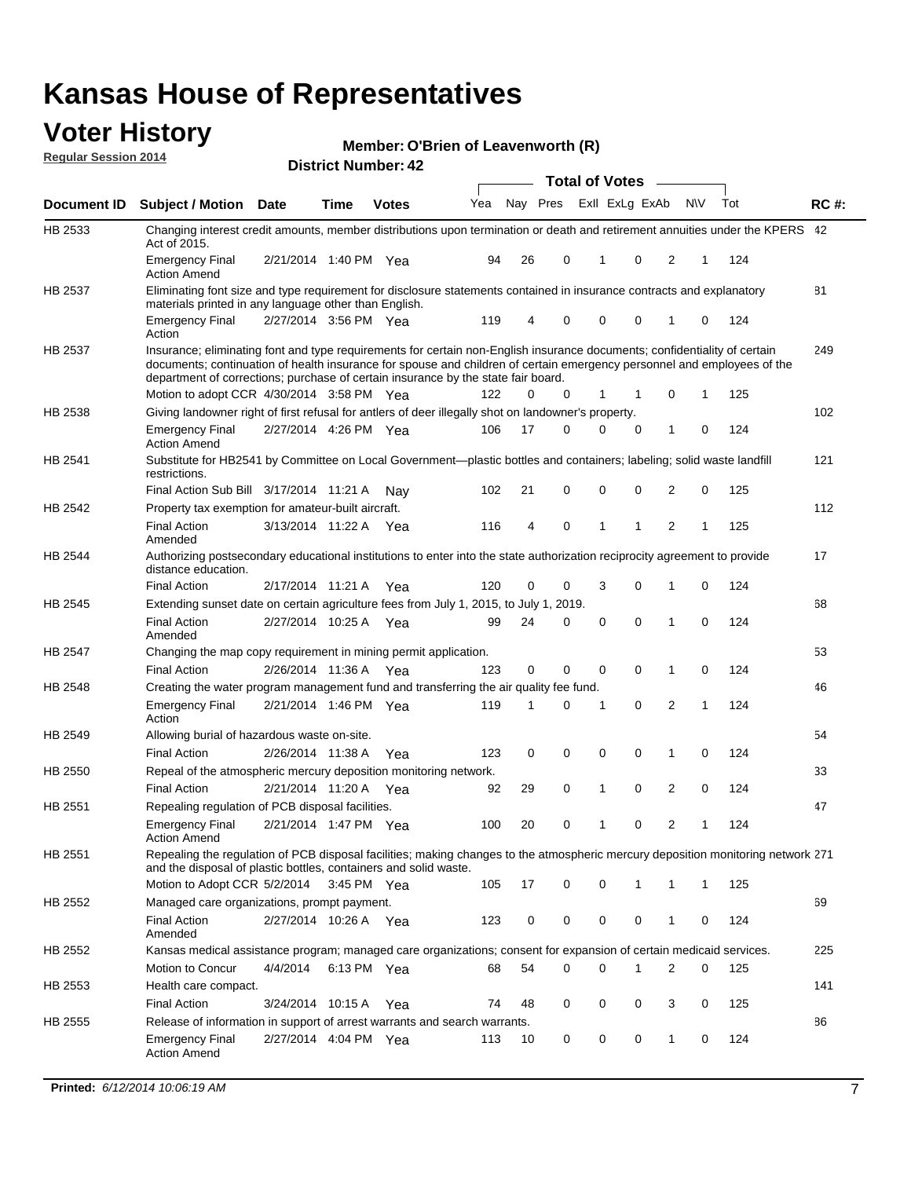#### **Voter History Regular Session 2014**

| Member: O'Brien of Leavenworth (R) |  |  |
|------------------------------------|--|--|
|------------------------------------|--|--|

|                |                                                                                                                                                                                                                                                                                                                                           |                       |             | PISUILLINUIIIDEL. 44 |     |    |                         | <b>Total of Votes</b> |              |              |          |     |             |
|----------------|-------------------------------------------------------------------------------------------------------------------------------------------------------------------------------------------------------------------------------------------------------------------------------------------------------------------------------------------|-----------------------|-------------|----------------------|-----|----|-------------------------|-----------------------|--------------|--------------|----------|-----|-------------|
| Document ID    | <b>Subject / Motion Date</b>                                                                                                                                                                                                                                                                                                              |                       | Time        | <b>Votes</b>         | Yea |    | Nay Pres Exll ExLg ExAb |                       |              | <b>NV</b>    |          | Tot | <b>RC#:</b> |
|                |                                                                                                                                                                                                                                                                                                                                           |                       |             |                      |     |    |                         |                       |              |              |          |     |             |
| HB 2533        | Changing interest credit amounts, member distributions upon termination or death and retirement annuities under the KPERS 42<br>Act of 2015.                                                                                                                                                                                              |                       |             |                      |     |    |                         |                       |              |              |          |     |             |
|                | <b>Emergency Final</b><br><b>Action Amend</b>                                                                                                                                                                                                                                                                                             | 2/21/2014 1:40 PM Yea |             |                      | 94  | 26 | 0                       | 1                     | 0            | 2            | 1        | 124 |             |
| HB 2537        | Eliminating font size and type requirement for disclosure statements contained in insurance contracts and explanatory<br>materials printed in any language other than English.                                                                                                                                                            |                       |             |                      |     |    |                         |                       |              |              |          |     | 81          |
|                | <b>Emergency Final</b><br>Action                                                                                                                                                                                                                                                                                                          | 2/27/2014 3:56 PM Yea |             |                      | 119 | 4  | 0                       | 0                     | 0            | 1            | 0        | 124 |             |
| HB 2537        | Insurance; eliminating font and type requirements for certain non-English insurance documents; confidentiality of certain<br>documents; continuation of health insurance for spouse and children of certain emergency personnel and employees of the<br>department of corrections; purchase of certain insurance by the state fair board. |                       |             |                      |     |    |                         |                       |              |              |          |     | 249         |
|                | Motion to adopt CCR 4/30/2014 3:58 PM Yea                                                                                                                                                                                                                                                                                                 |                       |             |                      | 122 | 0  | 0                       | 1                     | -1           | 0            | 1        | 125 |             |
| HB 2538        | Giving landowner right of first refusal for antlers of deer illegally shot on landowner's property.                                                                                                                                                                                                                                       |                       |             |                      |     |    |                         |                       |              |              |          |     | 102         |
|                | <b>Emergency Final</b><br><b>Action Amend</b>                                                                                                                                                                                                                                                                                             | 2/27/2014 4:26 PM Yea |             |                      | 106 | 17 | 0                       | 0                     | 0            | 1            | 0        | 124 |             |
| HB 2541        | Substitute for HB2541 by Committee on Local Government—plastic bottles and containers; labeling; solid waste landfill<br>restrictions.                                                                                                                                                                                                    |                       |             |                      |     |    |                         |                       |              |              |          |     | 121         |
|                | Final Action Sub Bill 3/17/2014 11:21 A                                                                                                                                                                                                                                                                                                   |                       |             | Nav                  | 102 | 21 | 0                       | $\mathbf 0$           | 0            | 2            | 0        | 125 |             |
| HB 2542        | Property tax exemption for amateur-built aircraft.                                                                                                                                                                                                                                                                                        |                       |             |                      |     |    |                         |                       |              |              |          |     | 112         |
|                | <b>Final Action</b><br>Amended                                                                                                                                                                                                                                                                                                            | 3/13/2014 11:22 A Yea |             |                      | 116 | 4  | 0                       | 1                     | $\mathbf{1}$ | 2            | 1        | 125 |             |
| HB 2544        | Authorizing postsecondary educational institutions to enter into the state authorization reciprocity agreement to provide<br>distance education.                                                                                                                                                                                          |                       |             |                      |     |    |                         |                       |              |              |          |     | 17          |
|                | <b>Final Action</b>                                                                                                                                                                                                                                                                                                                       | 2/17/2014 11:21 A Yea |             |                      | 120 | 0  | 0                       | 3                     | 0            | 1            | 0        | 124 |             |
| HB 2545        | Extending sunset date on certain agriculture fees from July 1, 2015, to July 1, 2019.                                                                                                                                                                                                                                                     |                       |             |                      |     |    |                         |                       |              |              |          |     | 68          |
|                | <b>Final Action</b><br>Amended                                                                                                                                                                                                                                                                                                            | 2/27/2014 10:25 A Yea |             |                      | 99  | 24 | 0                       | $\mathbf 0$           | $\Omega$     | 1            | $\Omega$ | 124 |             |
| <b>HB 2547</b> | Changing the map copy requirement in mining permit application.                                                                                                                                                                                                                                                                           |                       |             |                      |     |    |                         |                       |              |              |          |     | 53          |
|                | <b>Final Action</b>                                                                                                                                                                                                                                                                                                                       | 2/26/2014 11:36 A     |             | Yea                  | 123 | 0  | 0                       | 0                     | 0            | 1            | 0        | 124 |             |
| HB 2548        | Creating the water program management fund and transferring the air quality fee fund.                                                                                                                                                                                                                                                     |                       |             |                      |     |    |                         |                       |              |              |          |     | 46          |
|                | <b>Emergency Final</b><br>Action                                                                                                                                                                                                                                                                                                          | 2/21/2014 1:46 PM Yea |             |                      | 119 | 1  | 0                       | 1                     | 0            | 2            | 1        | 124 |             |
| HB 2549        | Allowing burial of hazardous waste on-site.                                                                                                                                                                                                                                                                                               |                       |             |                      |     |    |                         |                       |              |              |          |     | 54          |
|                | <b>Final Action</b>                                                                                                                                                                                                                                                                                                                       | 2/26/2014 11:38 A     |             | Yea                  | 123 | 0  | 0                       | 0                     | 0            | 1            | 0        | 124 |             |
| HB 2550        | Repeal of the atmospheric mercury deposition monitoring network.                                                                                                                                                                                                                                                                          |                       |             |                      |     |    |                         |                       |              |              |          |     | 33          |
|                | <b>Final Action</b>                                                                                                                                                                                                                                                                                                                       | 2/21/2014 11:20 A     |             | Yea                  | 92  | 29 | 0                       | 1                     | 0            | 2            | 0        | 124 |             |
| HB 2551        | Repealing regulation of PCB disposal facilities.                                                                                                                                                                                                                                                                                          |                       |             |                      |     |    |                         |                       |              |              |          |     | 47          |
|                | <b>Emergency Final</b>                                                                                                                                                                                                                                                                                                                    | 2/21/2014 1:47 PM Yea |             |                      | 100 | 20 | 0                       | 1                     | 0            | 2            | 1        | 124 |             |
| HB 2551        | Action Amend<br>Repealing the regulation of PCB disposal facilities; making changes to the atmospheric mercury deposition monitoring network 271<br>and the disposal of plastic bottles, containers and solid waste.                                                                                                                      |                       |             |                      |     |    |                         |                       |              |              |          |     |             |
|                | Motion to Adopt CCR 5/2/2014                                                                                                                                                                                                                                                                                                              |                       | 3:45 PM Yea |                      | 105 | 17 | 0                       | $\mathbf 0$           | 1            | 1            | 1        | 125 |             |
| HB 2552        |                                                                                                                                                                                                                                                                                                                                           |                       |             |                      |     |    |                         |                       |              |              |          |     | 69          |
|                | Managed care organizations, prompt payment.                                                                                                                                                                                                                                                                                               |                       |             |                      |     |    |                         |                       |              |              |          |     |             |
|                | <b>Final Action</b><br>Amended                                                                                                                                                                                                                                                                                                            | 2/27/2014 10:26 A Yea |             |                      | 123 | 0  | 0                       | 0                     | 0            | 1            | 0        | 124 |             |
| HB 2552        | Kansas medical assistance program; managed care organizations; consent for expansion of certain medicaid services.                                                                                                                                                                                                                        |                       |             |                      |     |    |                         |                       |              |              |          |     | 225         |
|                | Motion to Concur                                                                                                                                                                                                                                                                                                                          | 4/4/2014              | 6:13 PM Yea |                      | 68  | 54 | 0                       | $\mathbf 0$           | 1            | 2            | 0        | 125 |             |
| HB 2553        | Health care compact.                                                                                                                                                                                                                                                                                                                      |                       |             |                      |     |    |                         |                       |              |              |          |     | 141         |
|                | <b>Final Action</b>                                                                                                                                                                                                                                                                                                                       | 3/24/2014 10:15 A Yea |             |                      | 74  | 48 | 0                       | 0                     | 0            | 3            | 0        | 125 |             |
| HB 2555        | Release of information in support of arrest warrants and search warrants.                                                                                                                                                                                                                                                                 |                       |             |                      |     |    |                         |                       |              |              |          |     | 86          |
|                | <b>Emergency Final</b><br><b>Action Amend</b>                                                                                                                                                                                                                                                                                             | 2/27/2014 4:04 PM Yea |             |                      | 113 | 10 | 0                       | 0                     | 0            | $\mathbf{1}$ | 0        | 124 |             |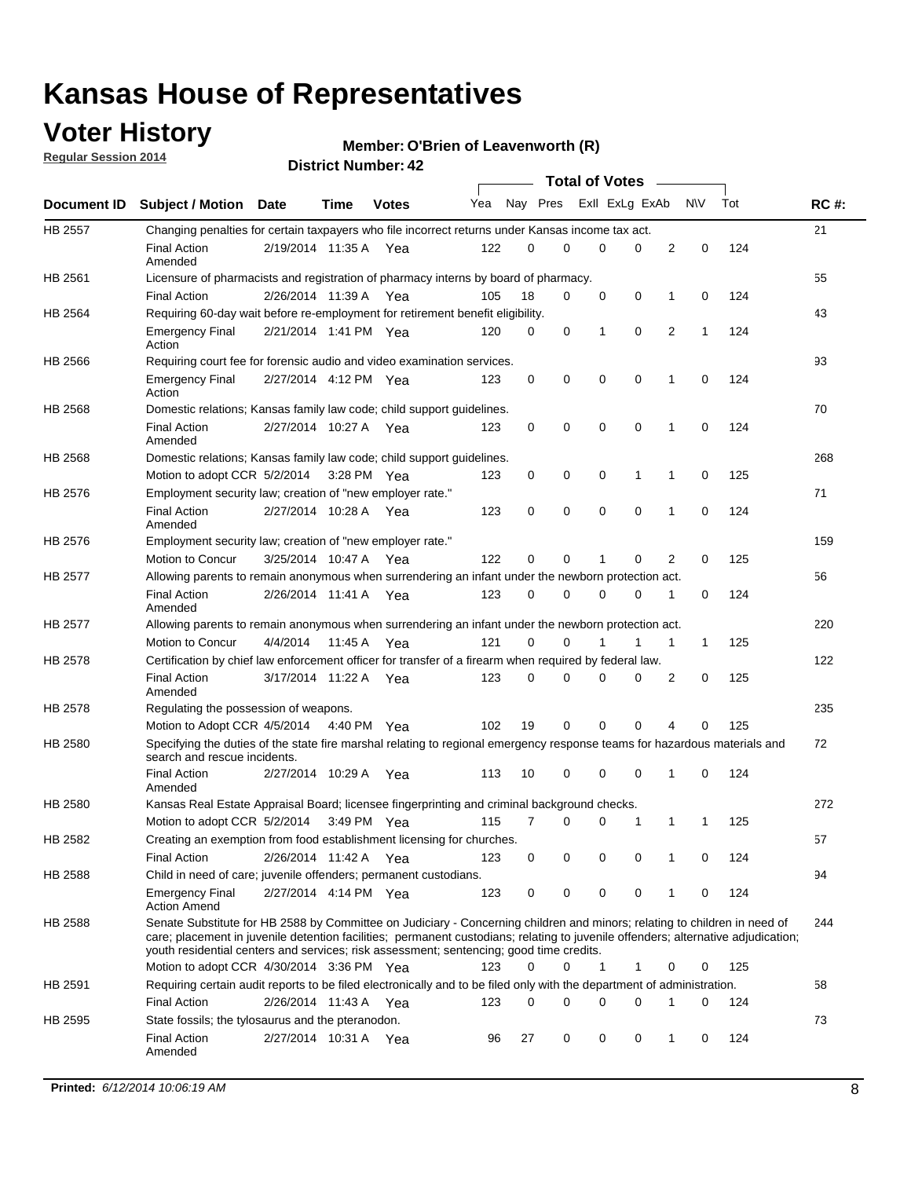### **Voter History**

**Regular Session 2014**

#### **O'Brien of Leavenworth (R)**

|                |                                                                                                                                                                                                                                                                                                                                                           |                       |         |              |     |          |   | <b>Total of Votes</b> |          |   |             |     |             |
|----------------|-----------------------------------------------------------------------------------------------------------------------------------------------------------------------------------------------------------------------------------------------------------------------------------------------------------------------------------------------------------|-----------------------|---------|--------------|-----|----------|---|-----------------------|----------|---|-------------|-----|-------------|
|                | Document ID Subject / Motion                                                                                                                                                                                                                                                                                                                              | Date                  | Time    | <b>Votes</b> | Yea | Nay Pres |   | Exll ExLg ExAb        |          |   | <b>NV</b>   | Tot | <b>RC#:</b> |
| HB 2557        | Changing penalties for certain taxpayers who file incorrect returns under Kansas income tax act.                                                                                                                                                                                                                                                          |                       |         |              |     |          |   |                       |          |   |             |     | 21          |
|                | <b>Final Action</b><br>Amended                                                                                                                                                                                                                                                                                                                            | 2/19/2014 11:35 A     |         | Yea          | 122 | 0        | 0 | 0                     | 0        | 2 | 0           | 124 |             |
| HB 2561        | Licensure of pharmacists and registration of pharmacy interns by board of pharmacy.                                                                                                                                                                                                                                                                       |                       |         |              |     |          |   |                       |          |   |             |     | 55          |
|                | <b>Final Action</b>                                                                                                                                                                                                                                                                                                                                       | 2/26/2014 11:39 A Yea |         |              | 105 | 18       | 0 | 0                     | 0        | 1 | 0           | 124 |             |
| HB 2564        | Requiring 60-day wait before re-employment for retirement benefit eligibility.                                                                                                                                                                                                                                                                            |                       |         |              |     |          |   |                       |          |   |             |     | 43          |
|                | <b>Emergency Final</b><br>Action                                                                                                                                                                                                                                                                                                                          | 2/21/2014 1:41 PM Yea |         |              | 120 | 0        | 0 | 1                     | 0        | 2 | 1           | 124 |             |
| HB 2566        | Requiring court fee for forensic audio and video examination services.                                                                                                                                                                                                                                                                                    |                       |         |              |     |          |   |                       |          |   |             |     | 93          |
|                | <b>Emergency Final</b><br>Action                                                                                                                                                                                                                                                                                                                          | 2/27/2014 4:12 PM Yea |         |              | 123 | 0        | 0 | 0                     | 0        | 1 | $\mathbf 0$ | 124 |             |
| HB 2568        | Domestic relations; Kansas family law code; child support guidelines.                                                                                                                                                                                                                                                                                     |                       |         |              |     |          |   |                       |          |   |             |     | 70          |
|                | <b>Final Action</b><br>Amended                                                                                                                                                                                                                                                                                                                            | 2/27/2014 10:27 A     |         | Yea          | 123 | 0        | 0 | 0                     | 0        | 1 | 0           | 124 |             |
| HB 2568        | Domestic relations; Kansas family law code; child support guidelines.                                                                                                                                                                                                                                                                                     |                       |         |              |     |          |   |                       |          |   |             |     | 268         |
|                | Motion to adopt CCR 5/2/2014 3:28 PM Yea                                                                                                                                                                                                                                                                                                                  |                       |         |              | 123 | 0        | 0 | 0                     | 1        | 1 | $\mathbf 0$ | 125 |             |
| HB 2576        | Employment security law; creation of "new employer rate."                                                                                                                                                                                                                                                                                                 |                       |         |              |     |          |   |                       |          |   |             |     | 71          |
|                | <b>Final Action</b><br>Amended                                                                                                                                                                                                                                                                                                                            | 2/27/2014 10:28 A     |         | Yea          | 123 | 0        | 0 | 0                     | 0        | 1 | $\mathbf 0$ | 124 |             |
| HB 2576        | Employment security law; creation of "new employer rate."                                                                                                                                                                                                                                                                                                 |                       |         |              |     |          |   |                       |          |   |             |     | 159         |
|                | Motion to Concur                                                                                                                                                                                                                                                                                                                                          | 3/25/2014 10:47 A     |         | Yea          | 122 | 0        | 0 | 1                     | 0        | 2 | 0           | 125 |             |
| <b>HB 2577</b> | Allowing parents to remain anonymous when surrendering an infant under the newborn protection act.                                                                                                                                                                                                                                                        |                       |         |              |     |          |   |                       |          |   |             |     | 56          |
|                | <b>Final Action</b><br>Amended                                                                                                                                                                                                                                                                                                                            | 2/26/2014 11:41 A Yea |         |              | 123 | $\Omega$ | 0 | 0                     | 0        | 1 | 0           | 124 |             |
| HB 2577        | Allowing parents to remain anonymous when surrendering an infant under the newborn protection act.                                                                                                                                                                                                                                                        |                       |         |              |     |          |   |                       |          |   |             |     | 220         |
|                | Motion to Concur                                                                                                                                                                                                                                                                                                                                          | 4/4/2014              | 11:45 A | Yea          | 121 | 0        | 0 |                       | 1        | 1 | 1           | 125 |             |
| HB 2578        | Certification by chief law enforcement officer for transfer of a firearm when required by federal law.                                                                                                                                                                                                                                                    |                       |         |              |     |          |   |                       |          |   |             |     | 122         |
|                | <b>Final Action</b><br>Amended                                                                                                                                                                                                                                                                                                                            | 3/17/2014 11:22 A     |         | Yea          | 123 | $\Omega$ | 0 | 0                     | 0        | 2 | 0           | 125 |             |
| HB 2578        | Regulating the possession of weapons.                                                                                                                                                                                                                                                                                                                     |                       |         |              |     |          |   |                       |          |   |             |     | 235         |
|                | Motion to Adopt CCR 4/5/2014 4:40 PM Yea                                                                                                                                                                                                                                                                                                                  |                       |         |              | 102 | 19       | 0 | 0                     | $\Omega$ | 4 | 0           | 125 |             |
| HB 2580        | Specifying the duties of the state fire marshal relating to regional emergency response teams for hazardous materials and<br>search and rescue incidents.                                                                                                                                                                                                 |                       |         |              |     |          |   |                       |          |   |             |     | 72          |
|                | <b>Final Action</b><br>Amended                                                                                                                                                                                                                                                                                                                            | 2/27/2014 10:29 A     |         | Yea          | 113 | 10       | 0 | 0                     | 0        | 1 | 0           | 124 |             |
| HB 2580        | Kansas Real Estate Appraisal Board; licensee fingerprinting and criminal background checks.                                                                                                                                                                                                                                                               |                       |         |              |     |          |   |                       |          |   |             |     | 272         |
|                | Motion to adopt CCR 5/2/2014                                                                                                                                                                                                                                                                                                                              |                       |         | 3:49 PM Yea  | 115 | 7        | 0 | 0                     | 1        | 1 | 1           | 125 |             |
| HB 2582        | Creating an exemption from food establishment licensing for churches.                                                                                                                                                                                                                                                                                     |                       |         |              |     |          |   |                       |          |   |             |     | 57          |
|                | <b>Final Action</b>                                                                                                                                                                                                                                                                                                                                       | 2/26/2014 11:42 A Yea |         |              | 123 | 0        | 0 | 0                     | 0        | 1 | 0           | 124 |             |
| HB 2588        | Child in need of care; juvenile offenders; permanent custodians.                                                                                                                                                                                                                                                                                          |                       |         |              |     |          |   |                       |          |   |             |     | 94          |
|                | <b>Emergency Final</b><br><b>Action Amend</b>                                                                                                                                                                                                                                                                                                             | 2/27/2014 4:14 PM Yea |         |              | 123 | 0        | 0 | 0                     | 0        | 1 | 0           | 124 |             |
| HB 2588        | Senate Substitute for HB 2588 by Committee on Judiciary - Concerning children and minors; relating to children in need of<br>care; placement in juvenile detention facilities; permanent custodians; relating to juvenile offenders; alternative adjudication;<br>youth residential centers and services; risk assessment; sentencing; good time credits. |                       |         |              |     |          |   |                       |          |   |             |     | 244         |
|                | Motion to adopt CCR 4/30/2014 3:36 PM Yea                                                                                                                                                                                                                                                                                                                 |                       |         |              | 123 | 0        | 0 | 1                     | 1        | 0 | 0           | 125 |             |
| HB 2591        | Requiring certain audit reports to be filed electronically and to be filed only with the department of administration.                                                                                                                                                                                                                                    |                       |         |              |     |          |   |                       |          |   |             |     | 58          |
|                | <b>Final Action</b>                                                                                                                                                                                                                                                                                                                                       | 2/26/2014 11:43 A Yea |         |              | 123 | 0        | 0 | 0                     | 0        | 1 | 0           | 124 |             |
| HB 2595        | State fossils; the tylosaurus and the pteranodon.                                                                                                                                                                                                                                                                                                         |                       |         |              |     |          |   |                       |          |   |             |     | 73          |
|                | <b>Final Action</b><br>Amended                                                                                                                                                                                                                                                                                                                            | 2/27/2014 10:31 A Yea |         |              | 96  | 27       | 0 | 0                     | 0        | 1 | 0           | 124 |             |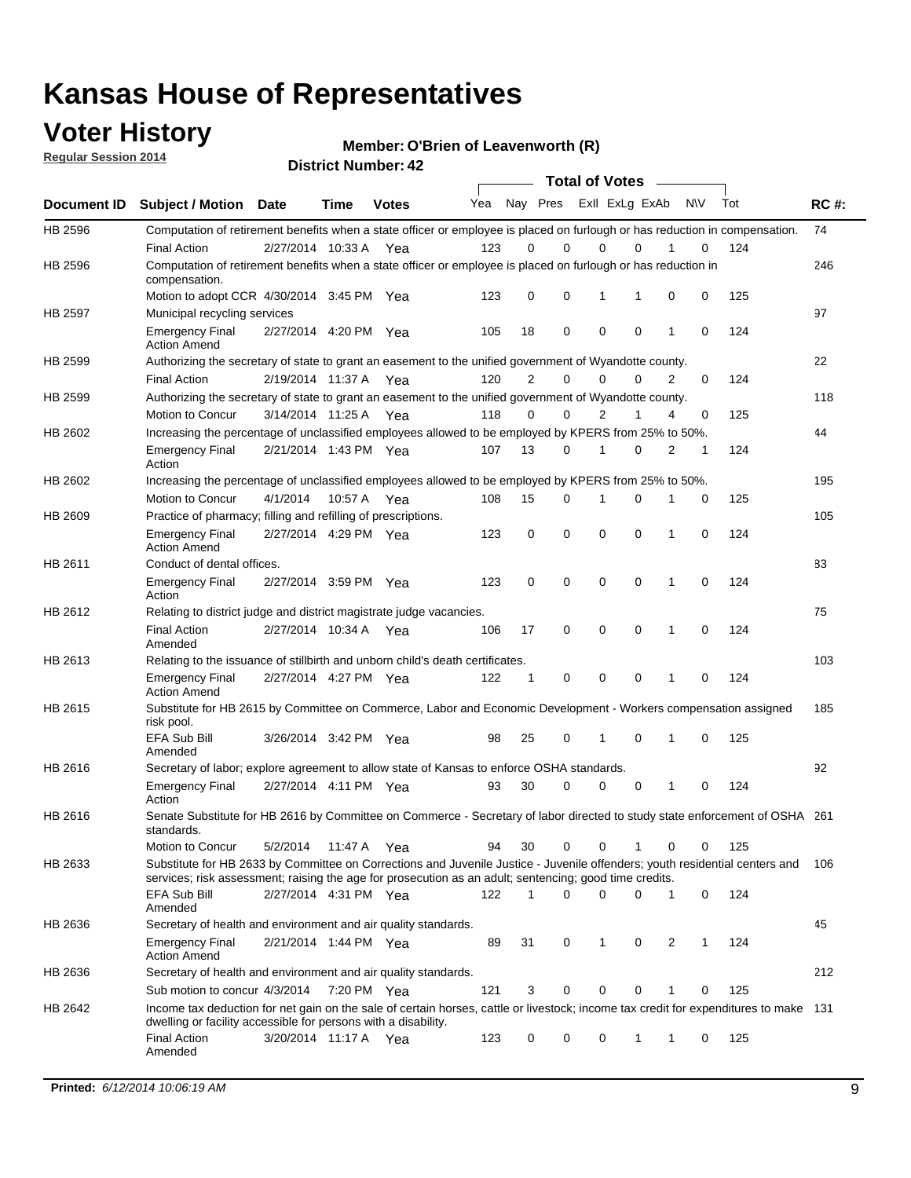### **Voter History**

**Regular Session 2014**

**O'Brien of Leavenworth (R)**

|                    |                                                                                                                                                                                                                                       |                       |             | DISTICT MAILDEL, 42 |     |              |             |                | <b>Total of Votes</b>   |              |             |     |             |
|--------------------|---------------------------------------------------------------------------------------------------------------------------------------------------------------------------------------------------------------------------------------|-----------------------|-------------|---------------------|-----|--------------|-------------|----------------|-------------------------|--------------|-------------|-----|-------------|
| <b>Document ID</b> | <b>Subject / Motion</b>                                                                                                                                                                                                               | <b>Date</b>           | Time        | <b>Votes</b>        | Yea |              |             |                | Nay Pres Exll ExLg ExAb |              | <b>NV</b>   | Tot | <b>RC#:</b> |
| HB 2596            | Computation of retirement benefits when a state officer or employee is placed on furlough or has reduction in compensation.                                                                                                           |                       |             |                     |     |              |             |                |                         |              |             |     | 74          |
|                    | <b>Final Action</b>                                                                                                                                                                                                                   | 2/27/2014 10:33 A     |             | Yea                 | 123 | 0            | $\Omega$    | 0              | $\Omega$                |              | 0           | 124 |             |
| HB 2596            | Computation of retirement benefits when a state officer or employee is placed on furlough or has reduction in<br>compensation.                                                                                                        |                       |             |                     |     |              |             |                |                         |              |             |     | 246         |
|                    | Motion to adopt CCR 4/30/2014 3:45 PM Yea                                                                                                                                                                                             |                       |             |                     | 123 | 0            | 0           | 1              | 1                       | 0            | 0           | 125 |             |
| HB 2597            | Municipal recycling services                                                                                                                                                                                                          |                       |             |                     |     |              |             |                |                         |              |             |     | 97          |
|                    | <b>Emergency Final</b><br><b>Action Amend</b>                                                                                                                                                                                         | 2/27/2014 4:20 PM Yea |             |                     | 105 | 18           | 0           | $\mathbf 0$    | $\mathbf 0$             | 1            | $\mathbf 0$ | 124 |             |
| HB 2599            | Authorizing the secretary of state to grant an easement to the unified government of Wyandotte county.                                                                                                                                |                       |             |                     |     |              |             |                |                         |              |             |     | 22          |
|                    | <b>Final Action</b>                                                                                                                                                                                                                   | 2/19/2014 11:37 A     |             | Yea                 | 120 | 2            | $\mathbf 0$ | 0              | 0                       | 2            | 0           | 124 |             |
| HB 2599            | Authorizing the secretary of state to grant an easement to the unified government of Wyandotte county.                                                                                                                                |                       |             |                     |     |              |             |                |                         |              |             |     | 118         |
|                    | Motion to Concur                                                                                                                                                                                                                      | 3/14/2014 11:25 A     |             | Yea                 | 118 | $\Omega$     | 0           | $\overline{2}$ | 1                       | 4            | 0           | 125 |             |
| HB 2602            | Increasing the percentage of unclassified employees allowed to be employed by KPERS from 25% to 50%.                                                                                                                                  |                       |             |                     |     |              |             |                |                         |              |             |     | 44          |
|                    | <b>Emergency Final</b><br>Action                                                                                                                                                                                                      | 2/21/2014 1:43 PM Yea |             |                     | 107 | 13           | 0           | 1              | 0                       | 2            | 1           | 124 |             |
| HB 2602            | Increasing the percentage of unclassified employees allowed to be employed by KPERS from 25% to 50%.                                                                                                                                  |                       |             |                     |     |              |             |                |                         |              |             |     | 195         |
|                    | Motion to Concur                                                                                                                                                                                                                      | 4/1/2014              | 10:57 A Yea |                     | 108 | 15           | 0           | 1              | 0                       |              | 0           | 125 |             |
| HB 2609            | Practice of pharmacy; filling and refilling of prescriptions.                                                                                                                                                                         |                       |             |                     |     |              |             |                |                         |              |             |     | 105         |
|                    | <b>Emergency Final</b><br><b>Action Amend</b>                                                                                                                                                                                         | 2/27/2014 4:29 PM Yea |             |                     | 123 | 0            | $\mathbf 0$ | $\mathbf 0$    | $\mathbf 0$             | 1            | $\mathbf 0$ | 124 |             |
| HB 2611            | Conduct of dental offices.                                                                                                                                                                                                            |                       |             |                     |     |              |             |                |                         |              |             |     | 83          |
|                    | <b>Emergency Final</b><br>Action                                                                                                                                                                                                      | 2/27/2014 3:59 PM Yea |             |                     | 123 | 0            | $\mathbf 0$ | $\mathbf 0$    | 0                       | 1            | 0           | 124 |             |
| HB 2612            | Relating to district judge and district magistrate judge vacancies.                                                                                                                                                                   |                       |             |                     |     |              |             |                |                         |              |             |     | 75          |
|                    | <b>Final Action</b><br>Amended                                                                                                                                                                                                        | 2/27/2014 10:34 A     |             | Yea                 | 106 | 17           | $\mathbf 0$ | $\mathbf 0$    | 0                       | 1            | $\mathbf 0$ | 124 |             |
| HB 2613            | Relating to the issuance of stillbirth and unborn child's death certificates.                                                                                                                                                         |                       |             |                     |     |              |             |                |                         |              |             |     | 103         |
|                    | <b>Emergency Final</b><br><b>Action Amend</b>                                                                                                                                                                                         | 2/27/2014 4:27 PM Yea |             |                     | 122 | 1            | 0           | $\mathbf 0$    | $\Omega$                | 1            | $\Omega$    | 124 |             |
| HB 2615            | Substitute for HB 2615 by Committee on Commerce, Labor and Economic Development - Workers compensation assigned<br>risk pool.                                                                                                         |                       |             |                     |     |              |             |                |                         |              |             |     | 185         |
|                    | <b>EFA Sub Bill</b><br>Amended                                                                                                                                                                                                        | 3/26/2014 3:42 PM Yea |             |                     | 98  | 25           | 0           | 1              | 0                       | 1            | 0           | 125 |             |
| HB 2616            | Secretary of labor; explore agreement to allow state of Kansas to enforce OSHA standards.                                                                                                                                             |                       |             |                     |     |              |             |                |                         |              |             |     | 92          |
|                    | <b>Emergency Final</b><br>Action                                                                                                                                                                                                      | 2/27/2014 4:11 PM Yea |             |                     | 93  | 30           | 0           | 0              | 0                       | 1            | 0           | 124 |             |
| HB 2616            | Senate Substitute for HB 2616 by Committee on Commerce - Secretary of labor directed to study state enforcement of OSHA 261<br>standards.                                                                                             |                       |             |                     |     |              |             |                |                         |              |             |     |             |
|                    | Motion to Concur                                                                                                                                                                                                                      | 5/2/2014              | 11:47 A Yea |                     | 94  | 30           | 0           | 0              |                         | 0            | 0           | 125 |             |
| HB 2633            | Substitute for HB 2633 by Committee on Corrections and Juvenile Justice - Juvenile offenders; youth residential centers and<br>services; risk assessment; raising the age for prosecution as an adult; sentencing; good time credits. |                       |             |                     |     |              |             |                |                         |              |             |     | 106         |
|                    | <b>EFA Sub Bill</b><br>Amended                                                                                                                                                                                                        | 2/27/2014 4:31 PM Yea |             |                     | 122 | $\mathbf{1}$ | $\Omega$    | 0              | 0                       | $\mathbf{1}$ | 0           | 124 |             |
| HB 2636            | Secretary of health and environment and air quality standards.                                                                                                                                                                        |                       |             |                     |     |              |             |                |                         |              |             |     | 45          |
|                    | <b>Emergency Final</b><br><b>Action Amend</b>                                                                                                                                                                                         | 2/21/2014 1:44 PM Yea |             |                     | 89  | 31           | 0           | 1              | 0                       | 2            | 1           | 124 |             |
| HB 2636            | Secretary of health and environment and air quality standards.                                                                                                                                                                        |                       |             |                     |     |              |             |                |                         |              |             |     | 212         |
|                    | Sub motion to concur 4/3/2014 7:20 PM Yea                                                                                                                                                                                             |                       |             |                     | 121 | 3            | 0           | 0              | 0                       |              | 0           | 125 |             |
| HB 2642            | Income tax deduction for net gain on the sale of certain horses, cattle or livestock; income tax credit for expenditures to make 131<br>dwelling or facility accessible for persons with a disability.                                |                       |             |                     |     |              |             |                |                         |              |             |     |             |
|                    | <b>Final Action</b><br>Amended                                                                                                                                                                                                        | 3/20/2014 11:17 A Yea |             |                     | 123 | 0            | 0           | 0              | 1                       | 1            | 0           | 125 |             |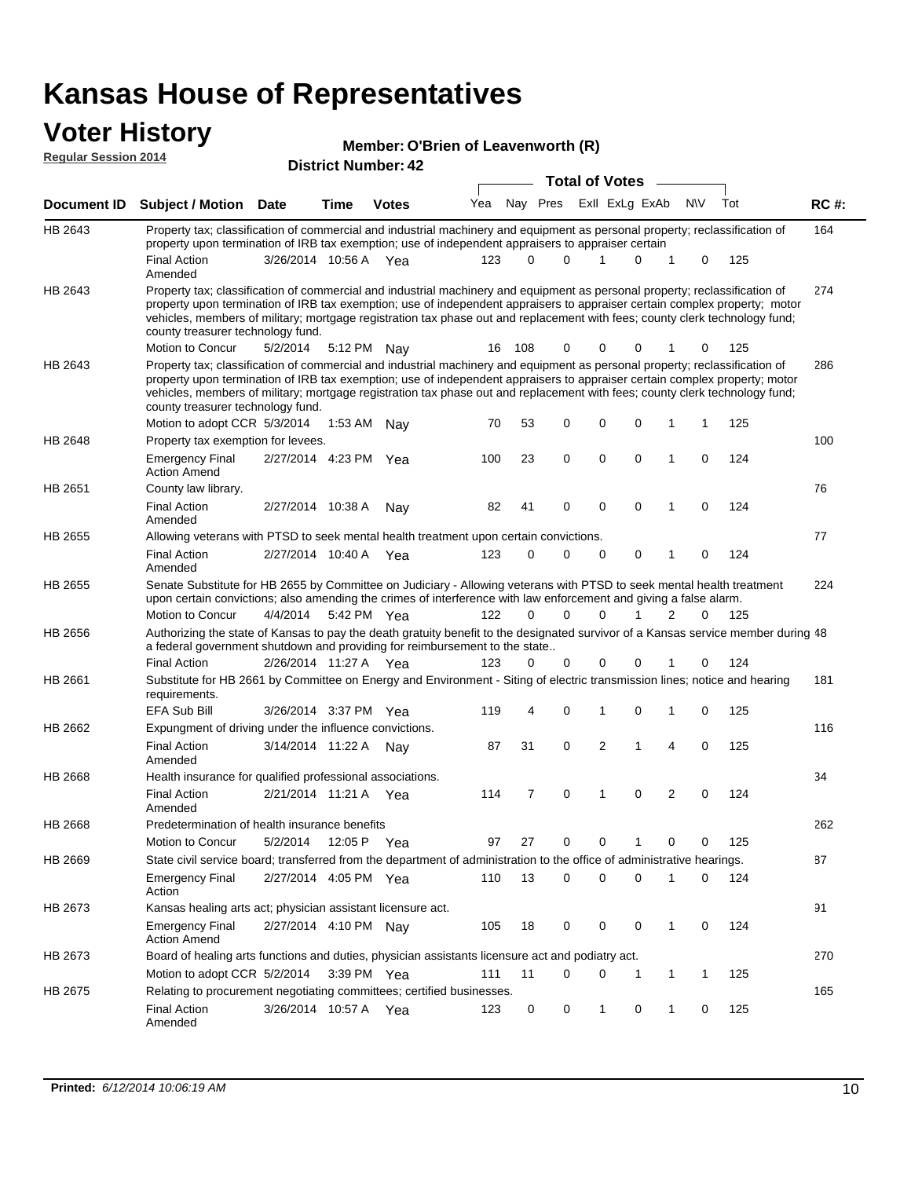# **Voter History Member: Regular Session 2014**

#### **O'Brien of Leavenworth (R)**

| noguidi ocoololi 4017 |                                                                                                                                                                                                                                                                                                                                                                                                                               |                       | <b>Total of Votes</b> |              |     |             |             |  |             |                |   |             |     |             |
|-----------------------|-------------------------------------------------------------------------------------------------------------------------------------------------------------------------------------------------------------------------------------------------------------------------------------------------------------------------------------------------------------------------------------------------------------------------------|-----------------------|-----------------------|--------------|-----|-------------|-------------|--|-------------|----------------|---|-------------|-----|-------------|
|                       |                                                                                                                                                                                                                                                                                                                                                                                                                               |                       |                       |              |     |             |             |  |             |                |   |             |     |             |
| Document ID           | <b>Subject / Motion Date</b>                                                                                                                                                                                                                                                                                                                                                                                                  |                       | <b>Time</b>           | <b>Votes</b> | Yea |             | Nay Pres    |  |             | Exll ExLg ExAb |   | N\V         | Tot | <b>RC#:</b> |
| HB 2643               | Property tax; classification of commercial and industrial machinery and equipment as personal property; reclassification of<br>property upon termination of IRB tax exemption; use of independent appraisers to appraiser certain                                                                                                                                                                                             |                       |                       |              |     |             |             |  |             |                |   |             |     | 164         |
|                       | <b>Final Action</b><br>Amended                                                                                                                                                                                                                                                                                                                                                                                                | 3/26/2014 10:56 A Yea |                       |              | 123 | 0           | 0           |  | 1           | 0              |   | 0           | 125 |             |
| HB 2643               | Property tax; classification of commercial and industrial machinery and equipment as personal property; reclassification of<br>property upon termination of IRB tax exemption; use of independent appraisers to appraiser certain complex property; motor<br>vehicles, members of military; mortgage registration tax phase out and replacement with fees; county clerk technology fund;<br>county treasurer technology fund. |                       |                       |              |     |             |             |  |             |                |   |             |     | 274         |
|                       | Motion to Concur                                                                                                                                                                                                                                                                                                                                                                                                              | 5/2/2014              |                       | 5:12 PM Nay  | 16  | 108         | 0           |  | 0           | 0              |   | 0           | 125 |             |
| HB 2643               | Property tax; classification of commercial and industrial machinery and equipment as personal property; reclassification of<br>property upon termination of IRB tax exemption; use of independent appraisers to appraiser certain complex property; motor<br>vehicles, members of military; mortgage registration tax phase out and replacement with fees; county clerk technology fund;<br>county treasurer technology fund. |                       |                       |              |     |             |             |  |             |                |   |             |     | 286         |
|                       | Motion to adopt CCR 5/3/2014                                                                                                                                                                                                                                                                                                                                                                                                  |                       |                       | 1:53 AM Nay  | 70  | 53          | 0           |  | 0           | 0<br>1         |   | 1           | 125 |             |
| HB 2648               | Property tax exemption for levees.<br><b>Emergency Final</b><br><b>Action Amend</b>                                                                                                                                                                                                                                                                                                                                           | 2/27/2014 4:23 PM Yea |                       |              | 100 | 23          | 0           |  | 0           | 0              | 1 | 0           | 124 | 100         |
| HB 2651               | County law library.                                                                                                                                                                                                                                                                                                                                                                                                           |                       |                       |              |     |             |             |  |             |                |   |             |     | 76          |
|                       | <b>Final Action</b><br>Amended                                                                                                                                                                                                                                                                                                                                                                                                | 2/27/2014 10:38 A     |                       | Nav          | 82  | 41          | $\mathbf 0$ |  | $\mathbf 0$ | $\mathbf 0$    | 1 | $\mathbf 0$ | 124 |             |
| HB 2655               | Allowing veterans with PTSD to seek mental health treatment upon certain convictions.                                                                                                                                                                                                                                                                                                                                         |                       |                       |              |     |             |             |  |             |                |   |             |     | 77          |
|                       | <b>Final Action</b><br>Amended                                                                                                                                                                                                                                                                                                                                                                                                | 2/27/2014 10:40 A     |                       | Yea          | 123 | $\mathbf 0$ | 0           |  | 0           | 0              | 1 | 0           | 124 |             |
| HB 2655               | Senate Substitute for HB 2655 by Committee on Judiciary - Allowing veterans with PTSD to seek mental health treatment<br>upon certain convictions; also amending the crimes of interference with law enforcement and giving a false alarm.                                                                                                                                                                                    |                       |                       |              |     |             |             |  |             |                |   |             |     | 224         |
|                       | Motion to Concur                                                                                                                                                                                                                                                                                                                                                                                                              | 4/4/2014              |                       | 5:42 PM Yea  | 122 | $\Omega$    | $\Omega$    |  | 0           | 1              | 2 | 0           | 125 |             |
| HB 2656               | Authorizing the state of Kansas to pay the death gratuity benefit to the designated survivor of a Kansas service member during 48<br>a federal government shutdown and providing for reimbursement to the state                                                                                                                                                                                                               |                       |                       |              |     |             |             |  |             |                |   |             |     |             |
|                       | <b>Final Action</b>                                                                                                                                                                                                                                                                                                                                                                                                           | 2/26/2014 11:27 A Yea |                       |              | 123 | 0           | 0           |  | 0           |                |   | 0           | 124 |             |
| HB 2661               | Substitute for HB 2661 by Committee on Energy and Environment - Siting of electric transmission lines; notice and hearing<br>requirements.<br><b>EFA Sub Bill</b>                                                                                                                                                                                                                                                             | 3/26/2014 3:37 PM Yea |                       |              | 119 | 4           | 0           |  | 1           | 0<br>1         |   | 0           | 125 | 181         |
| HB 2662               | Expungment of driving under the influence convictions.                                                                                                                                                                                                                                                                                                                                                                        |                       |                       |              |     |             |             |  |             |                |   |             |     | 116         |
|                       | <b>Final Action</b><br>Amended                                                                                                                                                                                                                                                                                                                                                                                                | 3/14/2014 11:22 A     |                       | Nav          | 87  | 31          | 0           |  | 2           | 1              | 4 | 0           | 125 |             |
| HB 2668               | Health insurance for qualified professional associations.                                                                                                                                                                                                                                                                                                                                                                     |                       |                       |              |     |             |             |  |             |                |   |             |     | 34          |
|                       | <b>Final Action</b><br>Amended                                                                                                                                                                                                                                                                                                                                                                                                | 2/21/2014 11:21 A Yea |                       |              | 114 | 7           | 0           |  | 1           | 0              | 2 | 0           | 124 |             |
| <b>HB 2668</b>        | Predetermination of health insurance benefits                                                                                                                                                                                                                                                                                                                                                                                 |                       |                       |              |     |             |             |  |             |                |   |             |     | 262         |
|                       | Motion to Concur                                                                                                                                                                                                                                                                                                                                                                                                              | 5/2/2014              |                       | 12:05 P Yea  | 97  | 27          | 0           |  | 0           |                | 0 | 0           | 125 |             |
| HB 2669               | State civil service board; transferred from the department of administration to the office of administrative hearings.                                                                                                                                                                                                                                                                                                        |                       |                       |              |     |             |             |  |             |                |   |             |     | 87          |
|                       | <b>Emergency Final</b><br>Action                                                                                                                                                                                                                                                                                                                                                                                              | 2/27/2014 4:05 PM Yea |                       |              | 110 | 13          | 0           |  | 0           | 0              |   | 0           | 124 |             |
| HB 2673               | Kansas healing arts act; physician assistant licensure act.                                                                                                                                                                                                                                                                                                                                                                   |                       |                       |              |     |             |             |  |             |                |   |             |     | 91          |
|                       | <b>Emergency Final</b><br><b>Action Amend</b>                                                                                                                                                                                                                                                                                                                                                                                 | 2/27/2014 4:10 PM Nav |                       |              | 105 | 18          | 0           |  | 0           | 0              | 1 | 0           | 124 |             |
| HB 2673               | Board of healing arts functions and duties, physician assistants licensure act and podiatry act.                                                                                                                                                                                                                                                                                                                              |                       |                       |              |     |             |             |  |             |                |   |             |     | 270         |
|                       | Motion to adopt CCR 5/2/2014                                                                                                                                                                                                                                                                                                                                                                                                  |                       |                       | 3:39 PM Yea  | 111 | 11          | 0           |  | 0           | 1              | 1 | 1           | 125 |             |
| HB 2675               | Relating to procurement negotiating committees; certified businesses.                                                                                                                                                                                                                                                                                                                                                         |                       |                       |              |     |             |             |  |             |                |   |             |     | 165         |
|                       | <b>Final Action</b><br>Amended                                                                                                                                                                                                                                                                                                                                                                                                | 3/26/2014 10:57 A Yea |                       |              | 123 | 0           | 0           |  | 1           | 0              | 1 | 0           | 125 |             |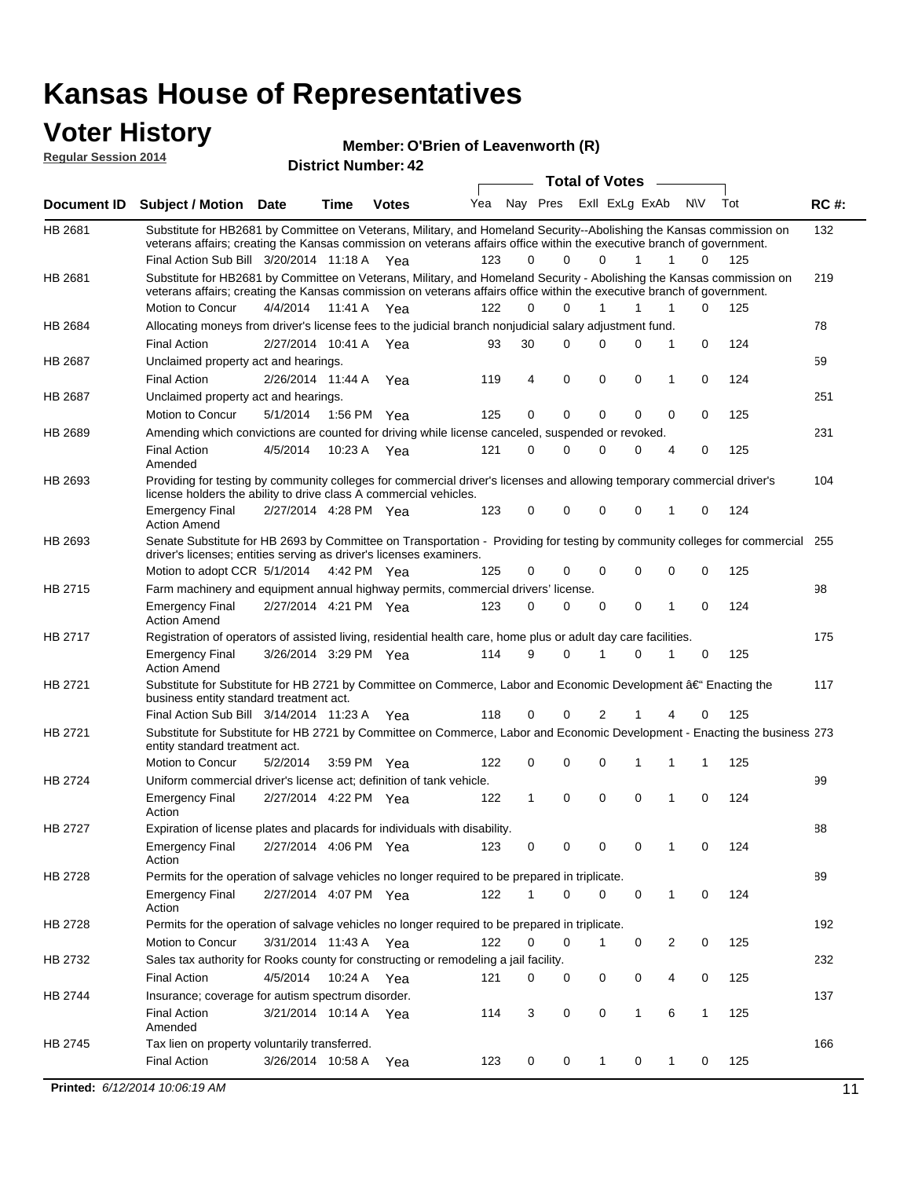#### **Voter History Regular Session 2014**

**O'Brien of Leavenworth (R)**

| noguiai ocoololl 4014 |                                                                                                                                                                                                                                                                                               |                       |                       | <b>District Number: 42</b> |     |    |          |                         |              |   |              |     |             |
|-----------------------|-----------------------------------------------------------------------------------------------------------------------------------------------------------------------------------------------------------------------------------------------------------------------------------------------|-----------------------|-----------------------|----------------------------|-----|----|----------|-------------------------|--------------|---|--------------|-----|-------------|
|                       |                                                                                                                                                                                                                                                                                               |                       |                       |                            |     |    |          | <b>Total of Votes</b>   |              |   |              |     |             |
| Document ID           | Subject / Motion Date                                                                                                                                                                                                                                                                         |                       | <b>Time</b>           | <b>Votes</b>               | Yea |    |          | Nay Pres ExII ExLg ExAb |              |   | N\V          | Tot | <b>RC#:</b> |
| HB 2681               | Substitute for HB2681 by Committee on Veterans, Military, and Homeland Security--Abolishing the Kansas commission on<br>veterans affairs; creating the Kansas commission on veterans affairs office within the executive branch of government.<br>Final Action Sub Bill 3/20/2014 11:18 A Yea |                       |                       |                            | 123 | 0  | $\Omega$ | $\Omega$                | 1            | 1 | $\Omega$     | 125 | 132         |
| HB 2681               | Substitute for HB2681 by Committee on Veterans, Military, and Homeland Security - Abolishing the Kansas commission on<br>veterans affairs; creating the Kansas commission on veterans affairs office within the executive branch of government.                                               |                       |                       |                            |     |    |          |                         |              |   |              |     | 219         |
|                       | Motion to Concur                                                                                                                                                                                                                                                                              | 4/4/2014              | 11:41 A               | Yea                        | 122 | 0  | 0        | $\mathbf{1}$            | 1            | 1 | 0            | 125 |             |
| HB 2684               | Allocating moneys from driver's license fees to the judicial branch nonjudicial salary adjustment fund.                                                                                                                                                                                       |                       |                       |                            |     |    | 0        | 0                       | 0            | 1 | $\mathbf 0$  | 124 | 78          |
|                       | <b>Final Action</b>                                                                                                                                                                                                                                                                           | 2/27/2014 10:41 A Yea |                       |                            | 93  | 30 |          |                         |              |   |              |     |             |
| HB 2687               | Unclaimed property act and hearings.                                                                                                                                                                                                                                                          |                       |                       |                            |     |    | 0        |                         | $\mathbf 0$  |   |              | 124 | 59          |
|                       | <b>Final Action</b>                                                                                                                                                                                                                                                                           |                       | 2/26/2014 11:44 A     | Yea                        | 119 | 4  |          | 0                       |              | 1 | 0            |     | 251         |
| HB 2687               | Unclaimed property act and hearings.<br>Motion to Concur                                                                                                                                                                                                                                      | 5/1/2014              |                       | 1:56 PM Yea                | 125 | 0  | 0        | 0                       | 0            | 0 | 0            | 125 |             |
| HB 2689               | Amending which convictions are counted for driving while license canceled, suspended or revoked.                                                                                                                                                                                              |                       |                       |                            |     |    |          |                         |              |   |              |     | 231         |
|                       | <b>Final Action</b><br>Amended                                                                                                                                                                                                                                                                | 4/5/2014              | 10:23 A               | Yea                        | 121 | 0  | 0        | 0                       | 0            | 4 | 0            | 125 |             |
| HB 2693               | Providing for testing by community colleges for commercial driver's licenses and allowing temporary commercial driver's<br>license holders the ability to drive class A commercial vehicles.                                                                                                  |                       |                       |                            |     |    |          |                         |              |   |              |     | 104         |
|                       | <b>Emergency Final</b><br><b>Action Amend</b>                                                                                                                                                                                                                                                 | 2/27/2014 4:28 PM Yea |                       |                            | 123 | 0  | $\Omega$ | 0                       | 0            | 1 | 0            | 124 |             |
| HB 2693               | Senate Substitute for HB 2693 by Committee on Transportation - Providing for testing by community colleges for commercial 255<br>driver's licenses; entities serving as driver's licenses examiners.                                                                                          |                       |                       |                            |     |    |          |                         |              |   |              |     |             |
|                       | Motion to adopt CCR 5/1/2014 4:42 PM Yea                                                                                                                                                                                                                                                      |                       |                       |                            | 125 | 0  | 0        | 0                       | 0            | 0 | 0            | 125 |             |
| HB 2715               | Farm machinery and equipment annual highway permits, commercial drivers' license.                                                                                                                                                                                                             |                       |                       |                            |     |    |          |                         |              |   |              |     | 98          |
|                       | <b>Emergency Final</b><br><b>Action Amend</b>                                                                                                                                                                                                                                                 | 2/27/2014 4:21 PM Yea |                       |                            | 123 | 0  | 0        | 0                       | 0            | 1 | 0            | 124 |             |
| HB 2717               | Registration of operators of assisted living, residential health care, home plus or adult day care facilities.                                                                                                                                                                                |                       |                       |                            |     |    |          |                         |              |   |              |     | 175         |
|                       | <b>Emergency Final</b><br><b>Action Amend</b>                                                                                                                                                                                                                                                 | 3/26/2014 3:29 PM Yea |                       |                            | 114 | 9  | 0        | 1                       | 0            | 1 | 0            | 125 |             |
| HB 2721               | Substitute for Substitute for HB 2721 by Committee on Commerce, Labor and Economic Development †Enacting the<br>business entity standard treatment act.                                                                                                                                       |                       |                       |                            |     |    |          |                         |              |   |              |     | 117         |
|                       | Final Action Sub Bill 3/14/2014 11:23 A Yea                                                                                                                                                                                                                                                   |                       |                       |                            | 118 | 0  | 0        | 2                       |              |   | 0            | 125 |             |
| HB 2721               | Substitute for Substitute for HB 2721 by Committee on Commerce, Labor and Economic Development - Enacting the business 273<br>entity standard treatment act.                                                                                                                                  |                       |                       |                            |     |    |          |                         |              |   |              |     |             |
|                       | Motion to Concur                                                                                                                                                                                                                                                                              | 5/2/2014              |                       | 3:59 PM Yea                | 122 | 0  | 0        | 0                       | 1            | 1 | 1            | 125 |             |
| HB 2724               | Uniform commercial driver's license act; definition of tank vehicle.                                                                                                                                                                                                                          |                       |                       |                            |     |    |          |                         |              |   |              |     | 99          |
|                       | <b>Emergency Final</b><br>Action                                                                                                                                                                                                                                                              | 2/27/2014 4:22 PM Yea |                       |                            | 122 | 1  | 0        | 0                       | 0            | 1 | 0            | 124 |             |
| HB 2727               | Expiration of license plates and placards for individuals with disability.                                                                                                                                                                                                                    |                       |                       |                            |     |    |          |                         |              |   |              |     | 88          |
|                       | <b>Emergency Final</b>                                                                                                                                                                                                                                                                        |                       | 2/27/2014 4:06 PM Yea |                            | 123 | 0  | 0        | 0                       | 0            | 1 | 0            | 124 |             |
| HB 2728               | Action<br>Permits for the operation of salvage vehicles no longer required to be prepared in triplicate.                                                                                                                                                                                      |                       |                       |                            |     |    |          |                         |              |   |              |     | 89          |
|                       | <b>Emergency Final</b><br>Action                                                                                                                                                                                                                                                              | 2/27/2014 4:07 PM Yea |                       |                            | 122 | 1  | 0        | 0                       | 0            | 1 | 0            | 124 |             |
| HB 2728               | Permits for the operation of salvage vehicles no longer required to be prepared in triplicate.                                                                                                                                                                                                |                       |                       |                            |     |    |          |                         |              |   |              |     | 192         |
|                       | Motion to Concur                                                                                                                                                                                                                                                                              |                       | 3/31/2014 11:43 A Yea |                            | 122 | 0  | 0        | 1                       | 0            | 2 | 0            | 125 |             |
| HB 2732               | Sales tax authority for Rooks county for constructing or remodeling a jail facility.                                                                                                                                                                                                          |                       |                       |                            |     |    |          |                         |              |   |              |     | 232         |
|                       | <b>Final Action</b>                                                                                                                                                                                                                                                                           | 4/5/2014              |                       | 10:24 A Yea                | 121 | 0  | 0        | 0                       | 0            | 4 | 0            | 125 |             |
| HB 2744               | Insurance; coverage for autism spectrum disorder.                                                                                                                                                                                                                                             |                       |                       |                            |     |    |          |                         |              |   |              |     | 137         |
|                       | <b>Final Action</b>                                                                                                                                                                                                                                                                           | 3/21/2014 10:14 A Yea |                       |                            | 114 | 3  | 0        | 0                       | $\mathbf{1}$ | 6 | $\mathbf{1}$ | 125 |             |
|                       | Amended                                                                                                                                                                                                                                                                                       |                       |                       |                            |     |    |          |                         |              |   |              |     |             |
| HB 2745               | Tax lien on property voluntarily transferred.                                                                                                                                                                                                                                                 |                       |                       |                            |     |    |          |                         |              |   |              |     | 166         |
|                       | <b>Final Action</b>                                                                                                                                                                                                                                                                           |                       | 3/26/2014 10:58 A     | Yea                        | 123 | 0  | 0        | 1                       | 0            | 1 | 0            | 125 |             |
|                       | Printed: 6/12/2014 10:06:19 AM                                                                                                                                                                                                                                                                |                       |                       |                            |     |    |          |                         |              |   |              |     | 11          |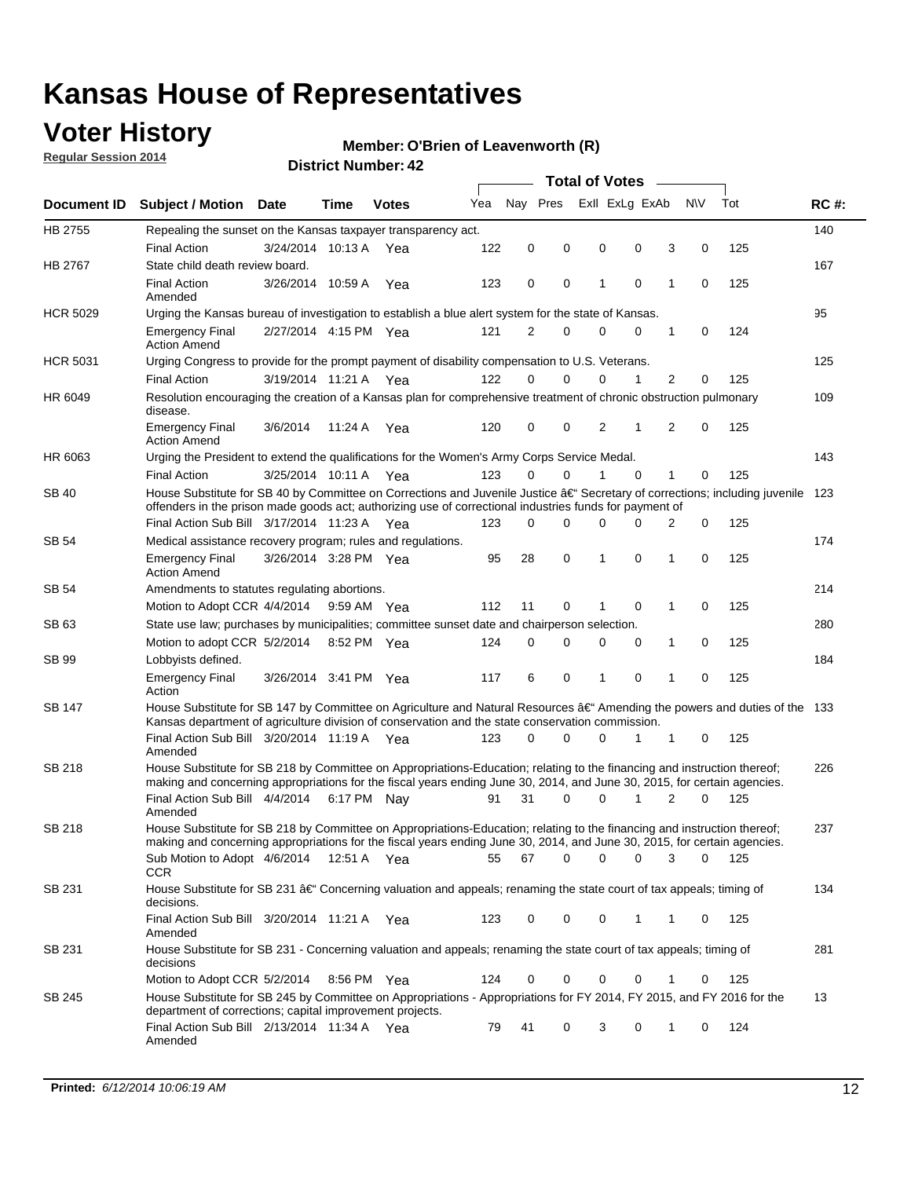### **Voter History**

**Regular Session 2014**

#### **O'Brien of Leavenworth (R)**

|                 |                                                                                                                                                                                                                                      |                       |             |              |     | <b>Total of Votes</b> |          |             |                |             |   |             |     |             |
|-----------------|--------------------------------------------------------------------------------------------------------------------------------------------------------------------------------------------------------------------------------------|-----------------------|-------------|--------------|-----|-----------------------|----------|-------------|----------------|-------------|---|-------------|-----|-------------|
| Document ID     | <b>Subject / Motion Date</b>                                                                                                                                                                                                         |                       | Time        | <b>Votes</b> | Yea | Nav Pres              |          |             | Exll ExLg ExAb |             |   | <b>NV</b>   | Tot | <b>RC#:</b> |
| HB 2755         | Repealing the sunset on the Kansas taxpayer transparency act.                                                                                                                                                                        |                       |             |              |     |                       |          |             |                |             |   |             |     | 140         |
|                 | <b>Final Action</b>                                                                                                                                                                                                                  | 3/24/2014 10:13 A     |             | Yea          | 122 | $\mathbf 0$           | 0        | 0           |                | 0           | 3 | 0           | 125 |             |
| HB 2767         | State child death review board.                                                                                                                                                                                                      |                       |             |              |     |                       |          |             |                |             |   |             |     | 167         |
|                 | <b>Final Action</b><br>Amended                                                                                                                                                                                                       | 3/26/2014 10:59 A     |             | Yea          | 123 | 0                     | 0        | 1           |                | $\mathbf 0$ | 1 | $\mathbf 0$ | 125 |             |
| <b>HCR 5029</b> | Urging the Kansas bureau of investigation to establish a blue alert system for the state of Kansas.                                                                                                                                  |                       |             |              |     |                       |          |             |                |             |   |             |     | 95          |
|                 | <b>Emergency Final</b><br><b>Action Amend</b>                                                                                                                                                                                        | 2/27/2014 4:15 PM Yea |             |              | 121 | 2                     | 0        | $\mathbf 0$ |                | 0           | 1 | 0           | 124 |             |
| <b>HCR 5031</b> | Urging Congress to provide for the prompt payment of disability compensation to U.S. Veterans.                                                                                                                                       |                       |             |              |     |                       |          |             |                |             |   |             |     | 125         |
|                 | <b>Final Action</b>                                                                                                                                                                                                                  | 3/19/2014 11:21 A Yea |             |              | 122 | $\Omega$              | $\Omega$ | 0           |                | 1           | 2 | 0           | 125 |             |
| HR 6049         | Resolution encouraging the creation of a Kansas plan for comprehensive treatment of chronic obstruction pulmonary<br>disease.                                                                                                        |                       |             |              |     |                       |          |             |                |             |   |             |     | 109         |
|                 | <b>Emergency Final</b><br><b>Action Amend</b>                                                                                                                                                                                        | 3/6/2014              | 11:24 A     | Yea          | 120 | $\mathbf 0$           | 0        | 2           |                | 1           | 2 | $\mathbf 0$ | 125 |             |
| HR 6063         | Urging the President to extend the qualifications for the Women's Army Corps Service Medal.                                                                                                                                          |                       |             |              |     |                       |          |             |                |             |   |             |     | 143         |
|                 | <b>Final Action</b>                                                                                                                                                                                                                  | 3/25/2014 10:11 A Yea |             |              | 123 | 0                     | $\Omega$ | 1           |                | $\Omega$    | 1 | 0           | 125 |             |
| <b>SB 40</b>    | House Substitute for SB 40 by Committee on Corrections and Juvenile Justice †Secretary of corrections; including juvenile<br>offenders in the prison made goods act; authorizing use of correctional industries funds for payment of |                       |             |              |     |                       |          |             |                |             |   |             |     | 123         |
|                 | Final Action Sub Bill 3/17/2014 11:23 A Yea                                                                                                                                                                                          |                       |             |              | 123 | 0                     | 0        | 0           |                | 0           | 2 | 0           | 125 |             |
| <b>SB 54</b>    | Medical assistance recovery program; rules and regulations.                                                                                                                                                                          |                       |             |              |     |                       |          |             |                |             |   |             |     | 174         |
|                 | <b>Emergency Final</b><br><b>Action Amend</b>                                                                                                                                                                                        | 3/26/2014 3:28 PM Yea |             |              | 95  | 28                    | 0        | 1           |                | 0           | 1 | $\mathbf 0$ | 125 |             |
| <b>SB 54</b>    | Amendments to statutes regulating abortions.                                                                                                                                                                                         |                       |             |              |     |                       |          |             |                |             |   |             |     | 214         |
|                 | Motion to Adopt CCR 4/4/2014                                                                                                                                                                                                         |                       | 9:59 AM Yea |              | 112 | 11                    | 0        | 1           |                | 0           | 1 | 0           | 125 |             |
| SB 63           | State use law; purchases by municipalities; committee sunset date and chairperson selection.                                                                                                                                         |                       |             |              |     |                       |          |             |                |             |   |             | 280 |             |
|                 | Motion to adopt CCR 5/2/2014                                                                                                                                                                                                         |                       | 8:52 PM Yea |              | 124 | $\mathbf 0$           | 0        | 0           |                | 0           | 1 | 0           | 125 |             |
| SB 99           | Lobbyists defined.                                                                                                                                                                                                                   |                       |             |              |     |                       |          |             |                |             |   |             |     | 184         |
|                 | <b>Emergency Final</b><br>Action                                                                                                                                                                                                     | 3/26/2014 3:41 PM Yea |             |              | 117 | 6                     | 0        | 1           |                | 0           | 1 | $\mathbf 0$ | 125 |             |
| SB 147          | House Substitute for SB 147 by Committee on Agriculture and Natural Resources †Amending the powers and duties of the 133<br>Kansas department of agriculture division of conservation and the state conservation commission.         |                       |             |              |     |                       |          |             |                |             |   |             |     |             |
|                 | Final Action Sub Bill 3/20/2014 11:19 A Yea<br>Amended                                                                                                                                                                               |                       |             |              | 123 | $\Omega$              | 0        | 0           |                | 1           | 1 | 0           | 125 |             |
| <b>SB 218</b>   | House Substitute for SB 218 by Committee on Appropriations-Education; relating to the financing and instruction thereof;                                                                                                             |                       |             |              |     |                       |          |             |                |             |   |             |     | 226         |
|                 | making and concerning appropriations for the fiscal years ending June 30, 2014, and June 30, 2015, for certain agencies.<br>Final Action Sub Bill 4/4/2014 6:17 PM Nay                                                               |                       |             |              | 91  | 31                    | 0        | 0           |                | 1           | 2 | $\Omega$    | 125 |             |
|                 | Amended                                                                                                                                                                                                                              |                       |             |              |     |                       |          |             |                |             |   |             |     |             |
| <b>SB 218</b>   | House Substitute for SB 218 by Committee on Appropriations-Education; relating to the financing and instruction thereof;                                                                                                             |                       |             |              |     |                       |          |             |                |             |   |             |     | 237         |
|                 | making and concerning appropriations for the fiscal years ending June 30, 2014, and June 30, 2015, for certain agencies.                                                                                                             |                       |             |              |     |                       |          |             |                |             |   |             |     |             |
|                 | Sub Motion to Adopt 4/6/2014 12:51 A Yea                                                                                                                                                                                             |                       |             |              | 55  | 67                    | 0        | 0           |                | 0           | 3 | 0           | 125 |             |
| SB 231          | <b>CCR</b><br>House Substitute for SB 231 †Concerning valuation and appeals; renaming the state court of tax appeals; timing of<br>decisions.                                                                                        |                       |             |              |     |                       |          |             |                |             |   |             |     | 134         |
|                 | Final Action Sub Bill 3/20/2014 11:21 A Yea<br>Amended                                                                                                                                                                               |                       |             |              | 123 | 0                     | 0        |             | 0              | 1           | 1 | 0           | 125 |             |
| SB 231          | House Substitute for SB 231 - Concerning valuation and appeals; renaming the state court of tax appeals; timing of<br>decisions                                                                                                      |                       |             |              |     |                       |          |             |                |             |   |             |     | 281         |
|                 | Motion to Adopt CCR 5/2/2014                                                                                                                                                                                                         |                       | 8:56 PM Yea |              | 124 | 0                     | 0        | 0           |                | 0           | 1 | 0           | 125 |             |
| SB 245          | House Substitute for SB 245 by Committee on Appropriations - Appropriations for FY 2014, FY 2015, and FY 2016 for the<br>department of corrections; capital improvement projects.                                                    |                       |             |              |     |                       |          |             |                |             |   |             |     | 13          |
|                 | Final Action Sub Bill 2/13/2014 11:34 A Yea<br>Amended                                                                                                                                                                               |                       |             |              | 79  | 41                    | 0        | 3           |                | 0           | 1 | 0           | 124 |             |
|                 |                                                                                                                                                                                                                                      |                       |             |              |     |                       |          |             |                |             |   |             |     |             |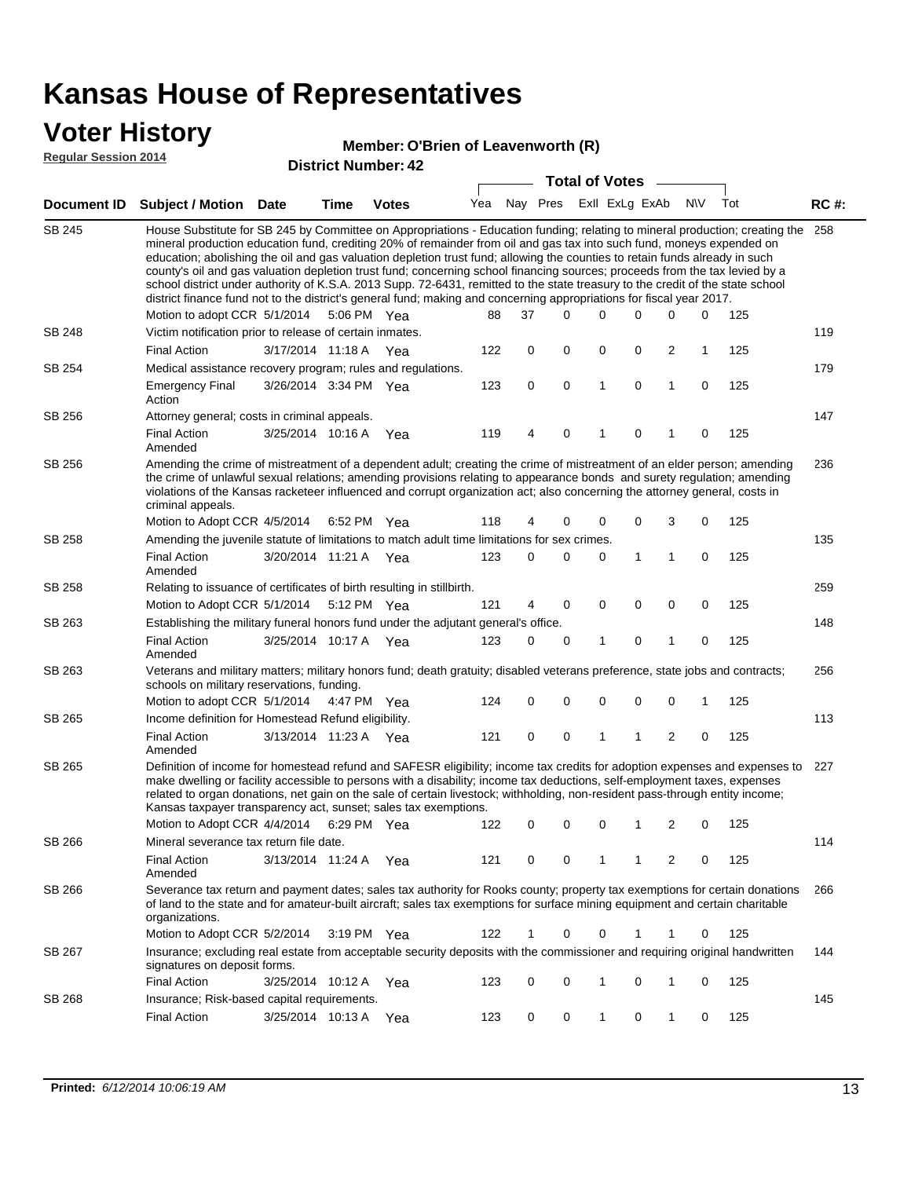### **Voter History**

#### **O'Brien of Leavenworth (R)**

**Regular Session 2014**

|               |                                                                                                                                                                                                                                                                                                                                                                                                                                                                                                                                                                                                                                                                                                                                                                                                                                                                                 |                       |      | DISTICI NUMBER 42 |     |             |   | <b>Total of Votes</b> |              |                |              |              |     |             |
|---------------|---------------------------------------------------------------------------------------------------------------------------------------------------------------------------------------------------------------------------------------------------------------------------------------------------------------------------------------------------------------------------------------------------------------------------------------------------------------------------------------------------------------------------------------------------------------------------------------------------------------------------------------------------------------------------------------------------------------------------------------------------------------------------------------------------------------------------------------------------------------------------------|-----------------------|------|-------------------|-----|-------------|---|-----------------------|--------------|----------------|--------------|--------------|-----|-------------|
|               |                                                                                                                                                                                                                                                                                                                                                                                                                                                                                                                                                                                                                                                                                                                                                                                                                                                                                 |                       |      |                   |     |             |   |                       |              |                |              |              |     |             |
|               | Document ID Subject / Motion Date                                                                                                                                                                                                                                                                                                                                                                                                                                                                                                                                                                                                                                                                                                                                                                                                                                               |                       | Time | <b>Votes</b>      | Yea | Nay Pres    |   |                       |              | Exll ExLg ExAb |              | <b>NV</b>    | Tot | <b>RC#:</b> |
| <b>SB 245</b> | House Substitute for SB 245 by Committee on Appropriations - Education funding; relating to mineral production; creating the<br>mineral production education fund, crediting 20% of remainder from oil and gas tax into such fund, moneys expended on<br>education; abolishing the oil and gas valuation depletion trust fund; allowing the counties to retain funds already in such<br>county's oil and gas valuation depletion trust fund; concerning school financing sources; proceeds from the tax levied by a<br>school district under authority of K.S.A. 2013 Supp. 72-6431, remitted to the state treasury to the credit of the state school<br>district finance fund not to the district's general fund; making and concerning appropriations for fiscal year 2017.<br>Motion to adopt CCR 5/1/2014<br>5:06 PM Yea<br>$\Omega$<br>0<br>0<br>0<br>0<br>125<br>88<br>37 |                       |      |                   |     |             |   |                       |              |                |              |              |     | 258         |
| SB 248        | Victim notification prior to release of certain inmates.                                                                                                                                                                                                                                                                                                                                                                                                                                                                                                                                                                                                                                                                                                                                                                                                                        |                       |      |                   |     |             |   |                       |              |                |              |              |     | 119         |
|               | <b>Final Action</b>                                                                                                                                                                                                                                                                                                                                                                                                                                                                                                                                                                                                                                                                                                                                                                                                                                                             | 3/17/2014 11:18 A Yea |      |                   | 122 |             | 0 | 0                     | 0            | 0              | 2            | $\mathbf{1}$ | 125 |             |
| SB 254        | Medical assistance recovery program; rules and regulations.                                                                                                                                                                                                                                                                                                                                                                                                                                                                                                                                                                                                                                                                                                                                                                                                                     |                       |      |                   |     |             |   |                       |              |                |              |              |     | 179         |
|               | <b>Emergency Final</b><br>Action                                                                                                                                                                                                                                                                                                                                                                                                                                                                                                                                                                                                                                                                                                                                                                                                                                                | 3/26/2014 3:34 PM Yea |      |                   | 123 |             | 0 | $\mathbf 0$           | $\mathbf{1}$ | 0              | $\mathbf{1}$ | 0            | 125 |             |
| SB 256        | Attorney general; costs in criminal appeals.                                                                                                                                                                                                                                                                                                                                                                                                                                                                                                                                                                                                                                                                                                                                                                                                                                    |                       |      |                   |     |             |   |                       |              |                |              |              |     | 147         |
|               | <b>Final Action</b><br>Amended                                                                                                                                                                                                                                                                                                                                                                                                                                                                                                                                                                                                                                                                                                                                                                                                                                                  | 3/25/2014 10:16 A     |      | Yea               | 119 |             | 4 | 0                     | 1            | 0              | 1            | 0            | 125 |             |
| SB 256        | Amending the crime of mistreatment of a dependent adult; creating the crime of mistreatment of an elder person; amending<br>the crime of unlawful sexual relations; amending provisions relating to appearance bonds and surety regulation; amending<br>violations of the Kansas racketeer influenced and corrupt organization act; also concerning the attorney general, costs in<br>criminal appeals.                                                                                                                                                                                                                                                                                                                                                                                                                                                                         |                       |      |                   |     |             |   |                       |              |                |              |              |     | 236         |
| SB 258        | Motion to Adopt CCR 4/5/2014 6:52 PM Yea                                                                                                                                                                                                                                                                                                                                                                                                                                                                                                                                                                                                                                                                                                                                                                                                                                        |                       |      |                   | 118 |             | 4 | 0                     | 0            | 0              | 3            | 0            | 125 | 135         |
|               | Amending the juvenile statute of limitations to match adult time limitations for sex crimes.<br><b>Final Action</b><br>Amended                                                                                                                                                                                                                                                                                                                                                                                                                                                                                                                                                                                                                                                                                                                                                  | 3/20/2014 11:21 A Yea |      |                   | 123 |             | 0 | 0                     | 0            | 1              | 1            | 0            | 125 |             |
| SB 258        | Relating to issuance of certificates of birth resulting in stillbirth.                                                                                                                                                                                                                                                                                                                                                                                                                                                                                                                                                                                                                                                                                                                                                                                                          |                       |      |                   |     |             |   |                       |              |                |              |              |     | 259         |
|               | Motion to Adopt CCR 5/1/2014 5:12 PM Yea                                                                                                                                                                                                                                                                                                                                                                                                                                                                                                                                                                                                                                                                                                                                                                                                                                        |                       |      |                   | 121 |             | 4 | 0                     | 0            | $\mathbf 0$    | 0            | 0            | 125 |             |
| SB 263        | Establishing the military funeral honors fund under the adjutant general's office.                                                                                                                                                                                                                                                                                                                                                                                                                                                                                                                                                                                                                                                                                                                                                                                              |                       |      |                   |     |             |   |                       |              |                |              |              |     | 148         |
|               | <b>Final Action</b><br>Amended                                                                                                                                                                                                                                                                                                                                                                                                                                                                                                                                                                                                                                                                                                                                                                                                                                                  | 3/25/2014 10:17 A Yea |      |                   | 123 |             | 0 | 0                     | 1            | 0              | 1            | $\mathbf 0$  | 125 |             |
| SB 263        | Veterans and military matters; military honors fund; death gratuity; disabled veterans preference, state jobs and contracts;<br>schools on military reservations, funding.                                                                                                                                                                                                                                                                                                                                                                                                                                                                                                                                                                                                                                                                                                      |                       |      |                   |     |             |   |                       |              |                |              |              |     | 256         |
|               | Motion to adopt CCR 5/1/2014 4:47 PM Yea                                                                                                                                                                                                                                                                                                                                                                                                                                                                                                                                                                                                                                                                                                                                                                                                                                        |                       |      |                   | 124 |             | 0 | 0                     | 0            | 0              | 0            | 1            | 125 |             |
| SB 265        | Income definition for Homestead Refund eligibility.                                                                                                                                                                                                                                                                                                                                                                                                                                                                                                                                                                                                                                                                                                                                                                                                                             |                       |      |                   |     |             |   |                       |              |                |              |              |     | 113         |
|               | Final Action<br>Amended                                                                                                                                                                                                                                                                                                                                                                                                                                                                                                                                                                                                                                                                                                                                                                                                                                                         | 3/13/2014 11:23 A Yea |      |                   | 121 |             | 0 | $\pmb{0}$             | 1            | 1              | 2            | 0            | 125 |             |
| SB 265        | Definition of income for homestead refund and SAFESR eligibility; income tax credits for adoption expenses and expenses to<br>make dwelling or facility accessible to persons with a disability; income tax deductions, self-employment taxes, expenses<br>related to organ donations, net gain on the sale of certain livestock; withholding, non-resident pass-through entity income;<br>Kansas taxpayer transparency act, sunset; sales tax exemptions.<br>Motion to Adopt CCR 4/4/2014 6:29 PM Yea<br>2<br>122<br>0<br>0<br>0<br>1<br>0                                                                                                                                                                                                                                                                                                                                     |                       |      |                   |     |             |   |                       |              |                |              |              | 125 | 227         |
| <b>SB 266</b> | Mineral severance tax return file date.                                                                                                                                                                                                                                                                                                                                                                                                                                                                                                                                                                                                                                                                                                                                                                                                                                         |                       |      |                   |     |             |   |                       |              |                |              |              |     | 114         |
|               | <b>Final Action</b><br>Amended                                                                                                                                                                                                                                                                                                                                                                                                                                                                                                                                                                                                                                                                                                                                                                                                                                                  | 3/13/2014 11:24 A     |      | Yea               | 121 |             | 0 | 0                     | 1            | 1              | 2            | 0            | 125 |             |
| SB 266        | Severance tax return and payment dates; sales tax authority for Rooks county; property tax exemptions for certain donations<br>of land to the state and for amateur-built aircraft; sales tax exemptions for surface mining equipment and certain charitable<br>organizations.                                                                                                                                                                                                                                                                                                                                                                                                                                                                                                                                                                                                  |                       |      |                   |     |             |   |                       |              |                |              |              |     | 266         |
|               | Motion to Adopt CCR 5/2/2014                                                                                                                                                                                                                                                                                                                                                                                                                                                                                                                                                                                                                                                                                                                                                                                                                                                    |                       |      | 3:19 PM Yea       | 122 | $\mathbf 1$ |   | 0                     | 0            | 1              | 1            | 0            | 125 |             |
| SB 267        | Insurance; excluding real estate from acceptable security deposits with the commissioner and requiring original handwritten<br>signatures on deposit forms.                                                                                                                                                                                                                                                                                                                                                                                                                                                                                                                                                                                                                                                                                                                     |                       |      |                   |     |             |   |                       |              |                |              |              |     | 144         |
|               | <b>Final Action</b>                                                                                                                                                                                                                                                                                                                                                                                                                                                                                                                                                                                                                                                                                                                                                                                                                                                             | 3/25/2014 10:12 A     |      | Yea               | 123 |             | 0 | 0                     | 1            | 0              | 1            | 0            | 125 |             |
| SB 268        | Insurance; Risk-based capital requirements.                                                                                                                                                                                                                                                                                                                                                                                                                                                                                                                                                                                                                                                                                                                                                                                                                                     |                       |      |                   |     |             |   |                       |              |                |              |              |     | 145         |
|               | <b>Final Action</b>                                                                                                                                                                                                                                                                                                                                                                                                                                                                                                                                                                                                                                                                                                                                                                                                                                                             | 3/25/2014 10:13 A     |      | Yea               | 123 |             | 0 | 0                     | 1            | 0              | 1            | 0            | 125 |             |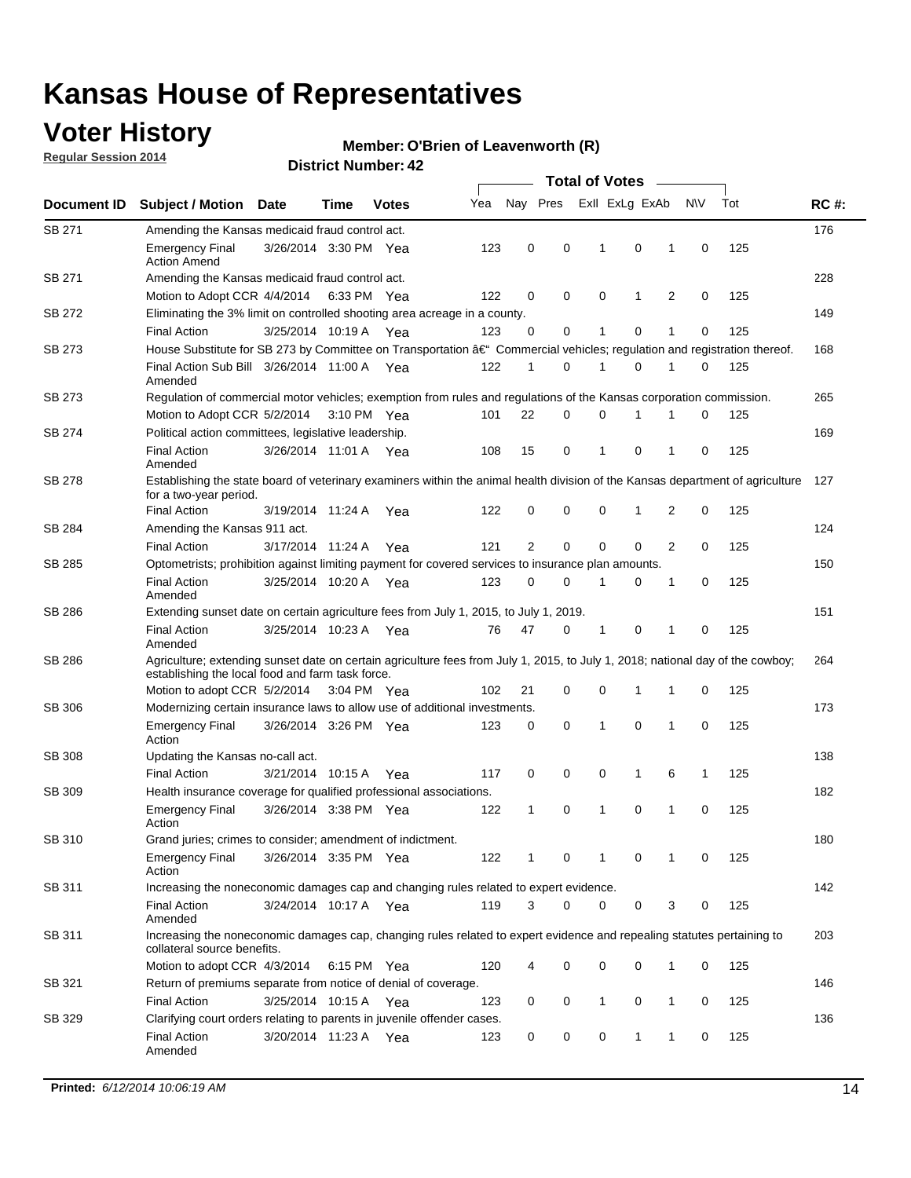### **Voter History**

**Regular Session 2014**

#### **O'Brien of Leavenworth (R)**

| Nay Pres<br>Exll ExLg ExAb<br>N\V<br>Tot<br>Yea<br>Document ID<br><b>Subject / Motion Date</b><br><b>Votes</b><br>Time<br>SB 271<br>Amending the Kansas medicaid fraud control act.<br>0<br>0<br>0<br>125<br><b>Emergency Final</b><br>3/26/2014 3:30 PM Yea<br>123<br>-1<br>1<br>0<br><b>Action Amend</b><br>SB 271<br>Amending the Kansas medicaid fraud control act.<br>125<br>Motion to Adopt CCR 4/4/2014 6:33 PM Yea<br>122<br>0<br>0<br>0<br>1<br>2<br>0<br>SB 272<br>Eliminating the 3% limit on controlled shooting area acreage in a county.<br>125<br>3/25/2014 10:19 A Yea<br>123<br>0<br>0<br>1<br>0<br>1<br>0<br><b>Final Action</b><br>House Substitute for SB 273 by Committee on Transportation †Commercial vehicles; regulation and registration thereof.<br>SB 273<br>Final Action Sub Bill 3/26/2014 11:00 A Yea<br>122<br>0<br>1<br>0<br>125<br>1<br>1<br>0<br>Amended<br>SB 273<br>Regulation of commercial motor vehicles; exemption from rules and regulations of the Kansas corporation commission.<br>22<br>0<br>0<br>125<br>Motion to Adopt CCR 5/2/2014 3:10 PM Yea<br>101<br>1<br>1<br>0<br>SB 274<br>Political action committees, legislative leadership. |             |
|-----------------------------------------------------------------------------------------------------------------------------------------------------------------------------------------------------------------------------------------------------------------------------------------------------------------------------------------------------------------------------------------------------------------------------------------------------------------------------------------------------------------------------------------------------------------------------------------------------------------------------------------------------------------------------------------------------------------------------------------------------------------------------------------------------------------------------------------------------------------------------------------------------------------------------------------------------------------------------------------------------------------------------------------------------------------------------------------------------------------------------------------------------------------------------------------|-------------|
|                                                                                                                                                                                                                                                                                                                                                                                                                                                                                                                                                                                                                                                                                                                                                                                                                                                                                                                                                                                                                                                                                                                                                                                         | <b>RC#:</b> |
|                                                                                                                                                                                                                                                                                                                                                                                                                                                                                                                                                                                                                                                                                                                                                                                                                                                                                                                                                                                                                                                                                                                                                                                         | 176         |
|                                                                                                                                                                                                                                                                                                                                                                                                                                                                                                                                                                                                                                                                                                                                                                                                                                                                                                                                                                                                                                                                                                                                                                                         |             |
|                                                                                                                                                                                                                                                                                                                                                                                                                                                                                                                                                                                                                                                                                                                                                                                                                                                                                                                                                                                                                                                                                                                                                                                         | 228         |
|                                                                                                                                                                                                                                                                                                                                                                                                                                                                                                                                                                                                                                                                                                                                                                                                                                                                                                                                                                                                                                                                                                                                                                                         |             |
|                                                                                                                                                                                                                                                                                                                                                                                                                                                                                                                                                                                                                                                                                                                                                                                                                                                                                                                                                                                                                                                                                                                                                                                         | 149         |
|                                                                                                                                                                                                                                                                                                                                                                                                                                                                                                                                                                                                                                                                                                                                                                                                                                                                                                                                                                                                                                                                                                                                                                                         |             |
|                                                                                                                                                                                                                                                                                                                                                                                                                                                                                                                                                                                                                                                                                                                                                                                                                                                                                                                                                                                                                                                                                                                                                                                         | 168         |
|                                                                                                                                                                                                                                                                                                                                                                                                                                                                                                                                                                                                                                                                                                                                                                                                                                                                                                                                                                                                                                                                                                                                                                                         |             |
|                                                                                                                                                                                                                                                                                                                                                                                                                                                                                                                                                                                                                                                                                                                                                                                                                                                                                                                                                                                                                                                                                                                                                                                         | 265         |
|                                                                                                                                                                                                                                                                                                                                                                                                                                                                                                                                                                                                                                                                                                                                                                                                                                                                                                                                                                                                                                                                                                                                                                                         |             |
|                                                                                                                                                                                                                                                                                                                                                                                                                                                                                                                                                                                                                                                                                                                                                                                                                                                                                                                                                                                                                                                                                                                                                                                         | 169         |
| $\mathbf 0$<br>15<br>0<br>$\mathbf{1}$<br>0<br>125<br><b>Final Action</b><br>3/26/2014 11:01 A Yea<br>108<br>1<br>Amended                                                                                                                                                                                                                                                                                                                                                                                                                                                                                                                                                                                                                                                                                                                                                                                                                                                                                                                                                                                                                                                               |             |
| <b>SB 278</b><br>Establishing the state board of veterinary examiners within the animal health division of the Kansas department of agriculture<br>for a two-year period.                                                                                                                                                                                                                                                                                                                                                                                                                                                                                                                                                                                                                                                                                                                                                                                                                                                                                                                                                                                                               | 127         |
| <b>Final Action</b><br>125<br>3/19/2014 11:24 A<br>122<br>0<br>0<br>0<br>1<br>2<br>0<br>Yea                                                                                                                                                                                                                                                                                                                                                                                                                                                                                                                                                                                                                                                                                                                                                                                                                                                                                                                                                                                                                                                                                             |             |
| SB 284<br>Amending the Kansas 911 act.                                                                                                                                                                                                                                                                                                                                                                                                                                                                                                                                                                                                                                                                                                                                                                                                                                                                                                                                                                                                                                                                                                                                                  | 124         |
| 2<br>$\mathbf 0$<br>$\mathbf 0$<br>$\mathbf 0$<br>2<br>125<br>3/17/2014 11:24 A<br>121<br>0<br><b>Final Action</b><br>Yea                                                                                                                                                                                                                                                                                                                                                                                                                                                                                                                                                                                                                                                                                                                                                                                                                                                                                                                                                                                                                                                               |             |
| SB 285<br>Optometrists; prohibition against limiting payment for covered services to insurance plan amounts.                                                                                                                                                                                                                                                                                                                                                                                                                                                                                                                                                                                                                                                                                                                                                                                                                                                                                                                                                                                                                                                                            | 150         |
| 125<br>3/25/2014 10:20 A Yea<br>0<br>0<br>$\mathbf 0$<br><b>Final Action</b><br>123<br>$\mathbf{1}$<br>0<br>1<br>Amended                                                                                                                                                                                                                                                                                                                                                                                                                                                                                                                                                                                                                                                                                                                                                                                                                                                                                                                                                                                                                                                                |             |
| SB 286<br>Extending sunset date on certain agriculture fees from July 1, 2015, to July 1, 2019.                                                                                                                                                                                                                                                                                                                                                                                                                                                                                                                                                                                                                                                                                                                                                                                                                                                                                                                                                                                                                                                                                         | 151         |
| 3/25/2014 10:23 A Yea<br>47<br>0<br>0<br>125<br><b>Final Action</b><br>76<br>-1<br>1<br>0<br>Amended                                                                                                                                                                                                                                                                                                                                                                                                                                                                                                                                                                                                                                                                                                                                                                                                                                                                                                                                                                                                                                                                                    |             |
| SB 286<br>Agriculture; extending sunset date on certain agriculture fees from July 1, 2015, to July 1, 2018; national day of the cowboy;<br>establishing the local food and farm task force.                                                                                                                                                                                                                                                                                                                                                                                                                                                                                                                                                                                                                                                                                                                                                                                                                                                                                                                                                                                            | 264         |
| Motion to adopt CCR 5/2/2014 3:04 PM Yea<br>102<br>21<br>0<br>0<br>125<br>1<br>1<br>0                                                                                                                                                                                                                                                                                                                                                                                                                                                                                                                                                                                                                                                                                                                                                                                                                                                                                                                                                                                                                                                                                                   |             |
| <b>SB 306</b><br>Modernizing certain insurance laws to allow use of additional investments.                                                                                                                                                                                                                                                                                                                                                                                                                                                                                                                                                                                                                                                                                                                                                                                                                                                                                                                                                                                                                                                                                             | 173         |
| 0<br>1<br>0<br>1<br>0<br>125<br><b>Emergency Final</b><br>3/26/2014 3:26 PM Yea<br>123<br>0<br>Action                                                                                                                                                                                                                                                                                                                                                                                                                                                                                                                                                                                                                                                                                                                                                                                                                                                                                                                                                                                                                                                                                   |             |
| <b>SB 308</b><br>Updating the Kansas no-call act.                                                                                                                                                                                                                                                                                                                                                                                                                                                                                                                                                                                                                                                                                                                                                                                                                                                                                                                                                                                                                                                                                                                                       | 138         |
| 125<br>3/21/2014 10:15 A<br>0<br>0<br>0<br>$\mathbf{1}$<br>6<br><b>Final Action</b><br>117<br>1<br>Yea                                                                                                                                                                                                                                                                                                                                                                                                                                                                                                                                                                                                                                                                                                                                                                                                                                                                                                                                                                                                                                                                                  |             |
| SB 309<br>Health insurance coverage for qualified professional associations.                                                                                                                                                                                                                                                                                                                                                                                                                                                                                                                                                                                                                                                                                                                                                                                                                                                                                                                                                                                                                                                                                                            | 182         |
| 125<br>3/26/2014 3:38 PM Yea<br>$\mathbf{1}$<br>0<br>1<br>0<br>1<br>$\mathbf 0$<br><b>Emergency Final</b><br>122<br>Action                                                                                                                                                                                                                                                                                                                                                                                                                                                                                                                                                                                                                                                                                                                                                                                                                                                                                                                                                                                                                                                              |             |
| SB 310<br>Grand juries; crimes to consider; amendment of indictment.                                                                                                                                                                                                                                                                                                                                                                                                                                                                                                                                                                                                                                                                                                                                                                                                                                                                                                                                                                                                                                                                                                                    | 180         |
| 125<br><b>Emergency Final</b><br>3/26/2014 3:35 PM Yea<br>122<br>0<br>0<br>0<br>1<br>1<br>1<br>Action                                                                                                                                                                                                                                                                                                                                                                                                                                                                                                                                                                                                                                                                                                                                                                                                                                                                                                                                                                                                                                                                                   |             |
| SB 311<br>Increasing the noneconomic damages cap and changing rules related to expert evidence.                                                                                                                                                                                                                                                                                                                                                                                                                                                                                                                                                                                                                                                                                                                                                                                                                                                                                                                                                                                                                                                                                         | 142         |
| 3/24/2014 10:17 A Yea<br>119<br>3<br>$\Omega$<br>0<br>0<br>3<br>125<br><b>Final Action</b><br>0<br>Amended                                                                                                                                                                                                                                                                                                                                                                                                                                                                                                                                                                                                                                                                                                                                                                                                                                                                                                                                                                                                                                                                              |             |
| SB 311<br>Increasing the noneconomic damages cap, changing rules related to expert evidence and repealing statutes pertaining to<br>collateral source benefits.                                                                                                                                                                                                                                                                                                                                                                                                                                                                                                                                                                                                                                                                                                                                                                                                                                                                                                                                                                                                                         | 203         |
| 0<br>0<br>125<br>Motion to adopt CCR 4/3/2014 6:15 PM Yea<br>120<br>0<br>1<br>0                                                                                                                                                                                                                                                                                                                                                                                                                                                                                                                                                                                                                                                                                                                                                                                                                                                                                                                                                                                                                                                                                                         |             |
| SB 321<br>Return of premiums separate from notice of denial of coverage.                                                                                                                                                                                                                                                                                                                                                                                                                                                                                                                                                                                                                                                                                                                                                                                                                                                                                                                                                                                                                                                                                                                | 146         |
| 3/25/2014 10:15 A Yea<br>0<br>$\mathbf{1}$<br>0<br>125<br><b>Final Action</b><br>123<br>0<br>1<br>0                                                                                                                                                                                                                                                                                                                                                                                                                                                                                                                                                                                                                                                                                                                                                                                                                                                                                                                                                                                                                                                                                     |             |
| SB 329<br>Clarifying court orders relating to parents in juvenile offender cases.<br>3/20/2014 11:23 A Yea<br>0<br>125<br><b>Final Action</b><br>123<br>0<br>0<br>1<br>1<br>0<br>Amended                                                                                                                                                                                                                                                                                                                                                                                                                                                                                                                                                                                                                                                                                                                                                                                                                                                                                                                                                                                                | 136         |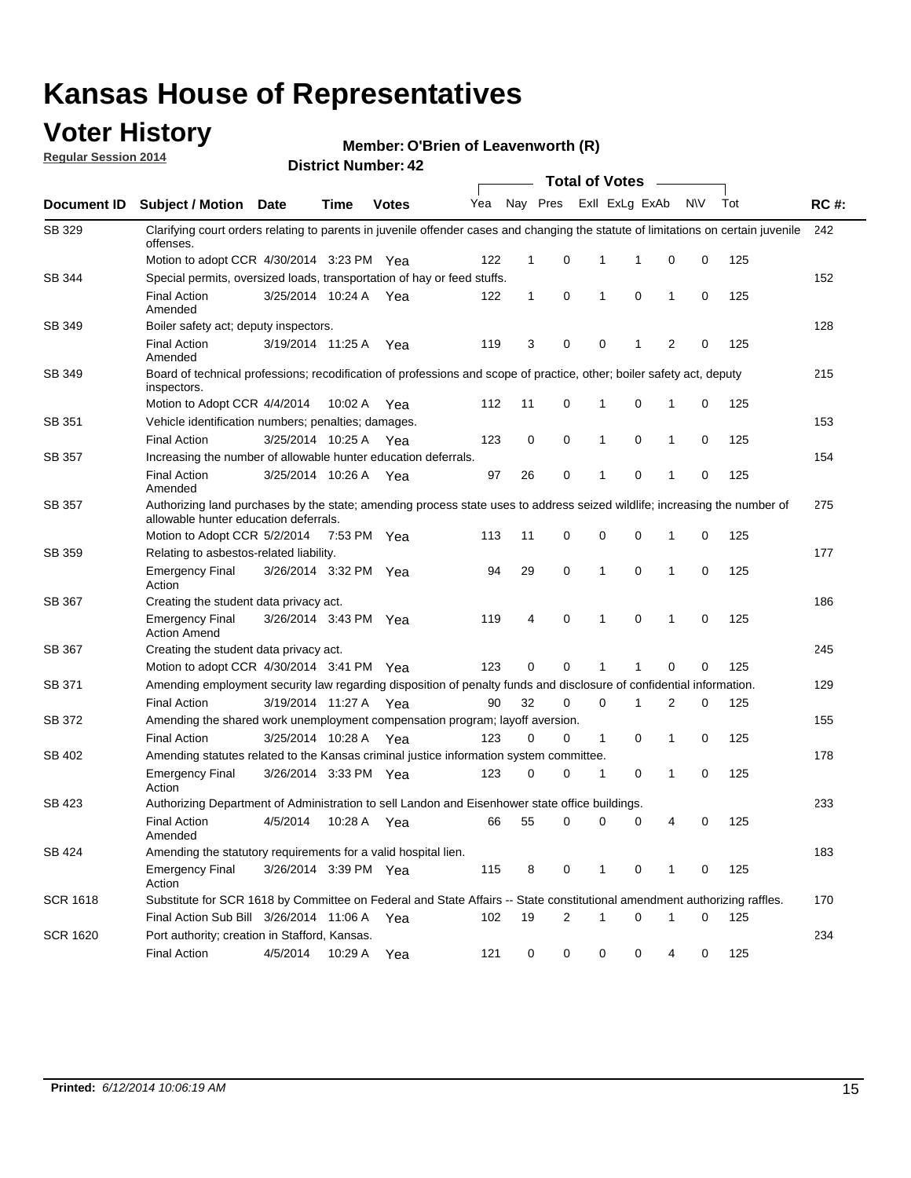### **Voter History**

**Regular Session 2014**

#### **O'Brien of Leavenworth (R)**

|                 |                                                                                                                                                                    |                       |             |              |     |              |   | <b>Total of Votes</b> |             |                |             |     |             |
|-----------------|--------------------------------------------------------------------------------------------------------------------------------------------------------------------|-----------------------|-------------|--------------|-----|--------------|---|-----------------------|-------------|----------------|-------------|-----|-------------|
| Document ID     | <b>Subject / Motion Date</b>                                                                                                                                       |                       | <b>Time</b> | <b>Votes</b> | Yea | Nay Pres     |   | Exll ExLg ExAb        |             |                | <b>NV</b>   | Tot | <b>RC#:</b> |
| SB 329          | Clarifying court orders relating to parents in juvenile offender cases and changing the statute of limitations on certain juvenile<br>offenses.                    |                       |             |              |     |              |   |                       |             |                |             |     | 242         |
|                 | Motion to adopt CCR 4/30/2014 3:23 PM Yea                                                                                                                          |                       |             |              | 122 | 1            | 0 | 1                     | 1           | $\mathbf 0$    | 0           | 125 |             |
| SB 344          | Special permits, oversized loads, transportation of hay or feed stuffs.                                                                                            |                       |             |              |     |              |   |                       |             |                |             |     | 152         |
|                 | <b>Final Action</b><br>Amended                                                                                                                                     | 3/25/2014 10:24 A     |             | Yea          | 122 | $\mathbf{1}$ | 0 | 1                     | 0           | $\mathbf{1}$   | 0           | 125 |             |
| SB 349          | Boiler safety act; deputy inspectors.                                                                                                                              |                       |             |              |     |              |   |                       |             |                |             |     | 128         |
|                 | <b>Final Action</b><br>Amended                                                                                                                                     | 3/19/2014 11:25 A     |             | Yea          | 119 | 3            | 0 | 0                     | -1          | $\overline{2}$ | 0           | 125 |             |
| <b>SB 349</b>   | Board of technical professions; recodification of professions and scope of practice, other; boiler safety act, deputy<br>inspectors.                               |                       |             |              |     |              |   |                       |             |                |             |     | 215         |
|                 | Motion to Adopt CCR 4/4/2014                                                                                                                                       |                       | 10:02 A     | Yea          | 112 | 11           | 0 | 1                     | $\mathbf 0$ | 1              | 0           | 125 |             |
| SB 351          | Vehicle identification numbers; penalties; damages.                                                                                                                |                       |             |              |     |              |   |                       |             |                |             |     | 153         |
|                 | <b>Final Action</b>                                                                                                                                                | 3/25/2014 10:25 A     |             | Yea          | 123 | 0            | 0 | $\mathbf{1}$          | $\mathbf 0$ | $\mathbf{1}$   | 0           | 125 |             |
| <b>SB 357</b>   | Increasing the number of allowable hunter education deferrals.                                                                                                     |                       |             |              |     |              |   |                       |             |                |             |     | 154         |
|                 | <b>Final Action</b><br>Amended                                                                                                                                     | 3/25/2014 10:26 A     |             | Yea          | 97  | 26           | 0 | 1                     | $\mathbf 0$ | 1              | 0           | 125 |             |
| SB 357          | Authorizing land purchases by the state; amending process state uses to address seized wildlife; increasing the number of<br>allowable hunter education deferrals. |                       |             |              |     |              |   |                       |             |                |             |     | 275         |
|                 | Motion to Adopt CCR 5/2/2014                                                                                                                                       |                       | 7:53 PM Yea |              | 113 | 11           | 0 | 0                     | $\mathbf 0$ | 1              | 0           | 125 |             |
| SB 359          | Relating to asbestos-related liability.                                                                                                                            |                       |             |              |     |              |   |                       |             |                |             |     | 177         |
|                 | <b>Emergency Final</b><br>Action                                                                                                                                   | 3/26/2014 3:32 PM Yea |             |              | 94  | 29           | 0 | 1                     | $\mathbf 0$ | 1              | 0           | 125 |             |
| SB 367          | Creating the student data privacy act.                                                                                                                             |                       |             |              |     |              |   |                       |             |                |             |     | 186         |
|                 | <b>Emergency Final</b><br><b>Action Amend</b>                                                                                                                      | 3/26/2014 3:43 PM Yea |             |              | 119 | 4            | 0 | 1                     | $\mathbf 0$ | 1              | 0           | 125 |             |
| SB 367          | Creating the student data privacy act.                                                                                                                             |                       |             |              |     |              |   |                       |             |                |             |     | 245         |
|                 | Motion to adopt CCR 4/30/2014 3:41 PM Yea                                                                                                                          |                       |             |              | 123 | 0            | 0 | 1                     | 1           | $\mathbf 0$    | 0           | 125 |             |
| SB 371          | Amending employment security law regarding disposition of penalty funds and disclosure of confidential information.                                                |                       |             |              |     |              |   |                       |             |                |             |     | 129         |
|                 | <b>Final Action</b>                                                                                                                                                | 3/19/2014 11:27 A Yea |             |              | 90  | 32           | 0 | 0                     | 1           | 2              | 0           | 125 |             |
| SB 372          | Amending the shared work unemployment compensation program; layoff aversion.                                                                                       |                       |             |              |     |              |   |                       |             |                |             |     | 155         |
|                 | <b>Final Action</b>                                                                                                                                                | 3/25/2014 10:28 A     |             | Yea          | 123 | 0            | 0 | $\mathbf{1}$          | 0           | $\mathbf{1}$   | 0           | 125 |             |
| SB 402          | Amending statutes related to the Kansas criminal justice information system committee.                                                                             |                       |             |              |     |              |   |                       |             |                |             |     | 178         |
|                 | <b>Emergency Final</b><br>Action                                                                                                                                   | 3/26/2014 3:33 PM Yea |             |              | 123 | 0            | 0 | 1                     | 0           | $\mathbf{1}$   | 0           | 125 |             |
| SB 423          | Authorizing Department of Administration to sell Landon and Eisenhower state office buildings.                                                                     |                       |             |              |     |              |   |                       |             |                |             |     | 233         |
|                 | <b>Final Action</b><br>Amended                                                                                                                                     | 4/5/2014              | 10:28 A     | Yea          | 66  | 55           | 0 | 0                     | 0           | 4              | 0           | 125 |             |
| SB 424          | Amending the statutory requirements for a valid hospital lien.                                                                                                     |                       |             |              |     |              |   |                       |             |                |             |     | 183         |
|                 | Emergency Final<br>Action                                                                                                                                          | 3/26/2014 3:39 PM Yea |             |              | 115 | 8            | 0 | $\mathbf{1}$          | 0           | 1              | 0           | 125 |             |
| <b>SCR 1618</b> | Substitute for SCR 1618 by Committee on Federal and State Affairs -- State constitutional amendment authorizing raffles.                                           |                       |             |              |     |              |   |                       |             |                |             |     | 170         |
|                 | Final Action Sub Bill 3/26/2014 11:06 A Yea                                                                                                                        |                       |             |              | 102 | 19           | 2 | 1                     | $\mathbf 0$ | 1              | $\mathbf 0$ | 125 |             |
| <b>SCR 1620</b> | Port authority; creation in Stafford, Kansas.                                                                                                                      |                       |             |              |     |              |   |                       |             |                |             |     | 234         |
|                 | <b>Final Action</b>                                                                                                                                                | 4/5/2014              | 10:29 A     | Yea          | 121 | 0            | 0 | 0                     | 0           | 4              | 0           | 125 |             |